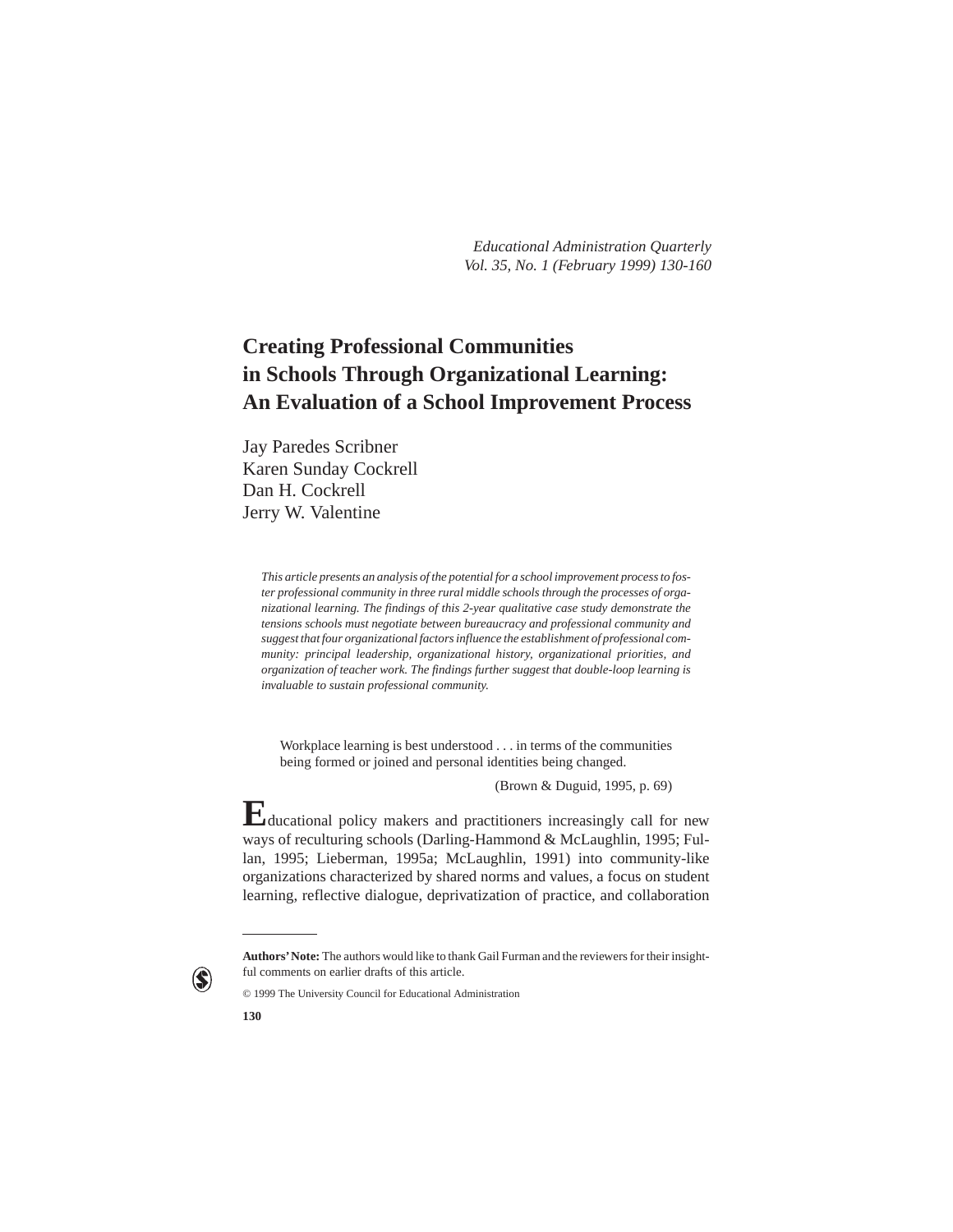*Educational Administration Quarterly Vol. 35, No. 1 (February 1999) 130-160*

# **Creating Professional Communities in Schools Through Organizational Learning: An Evaluation of a School Improvement Process**

Jay Paredes Scribner Karen Sunday Cockrell Dan H. Cockrell Jerry W. Valentine

> *This article presents an analysis of the potential for a school improvement process to foster professional community in three rural middle schools through the processes of organizational learning. The findings of this 2-year qualitative case study demonstrate the tensions schools must negotiate between bureaucracy and professional community and suggest that four organizational factors influence the establishment of professional community: principal leadership, organizational history, organizational priorities, and organization of teacher work. The findings further suggest that double-loop learning is invaluable to sustain professional community.*

Workplace learning is best understood . . . in terms of the communities being formed or joined and personal identities being changed.

(Brown & Duguid, 1995, p. 69)

**E**ducational policy makers and practitioners increasingly call for new ways of reculturing schools (Darling-Hammond & McLaughlin, 1995; Fullan, 1995; Lieberman, 1995a; McLaughlin, 1991) into community-like organizations characterized by shared norms and values, a focus on student learning, reflective dialogue, deprivatization of practice, and collaboration

© 1999 The University Council for Educational Administration

 $\left( \bullet \right)$ 

**Authors'Note:** The authors would like to thank Gail Furman and the reviewers for their insightful comments on earlier drafts of this article.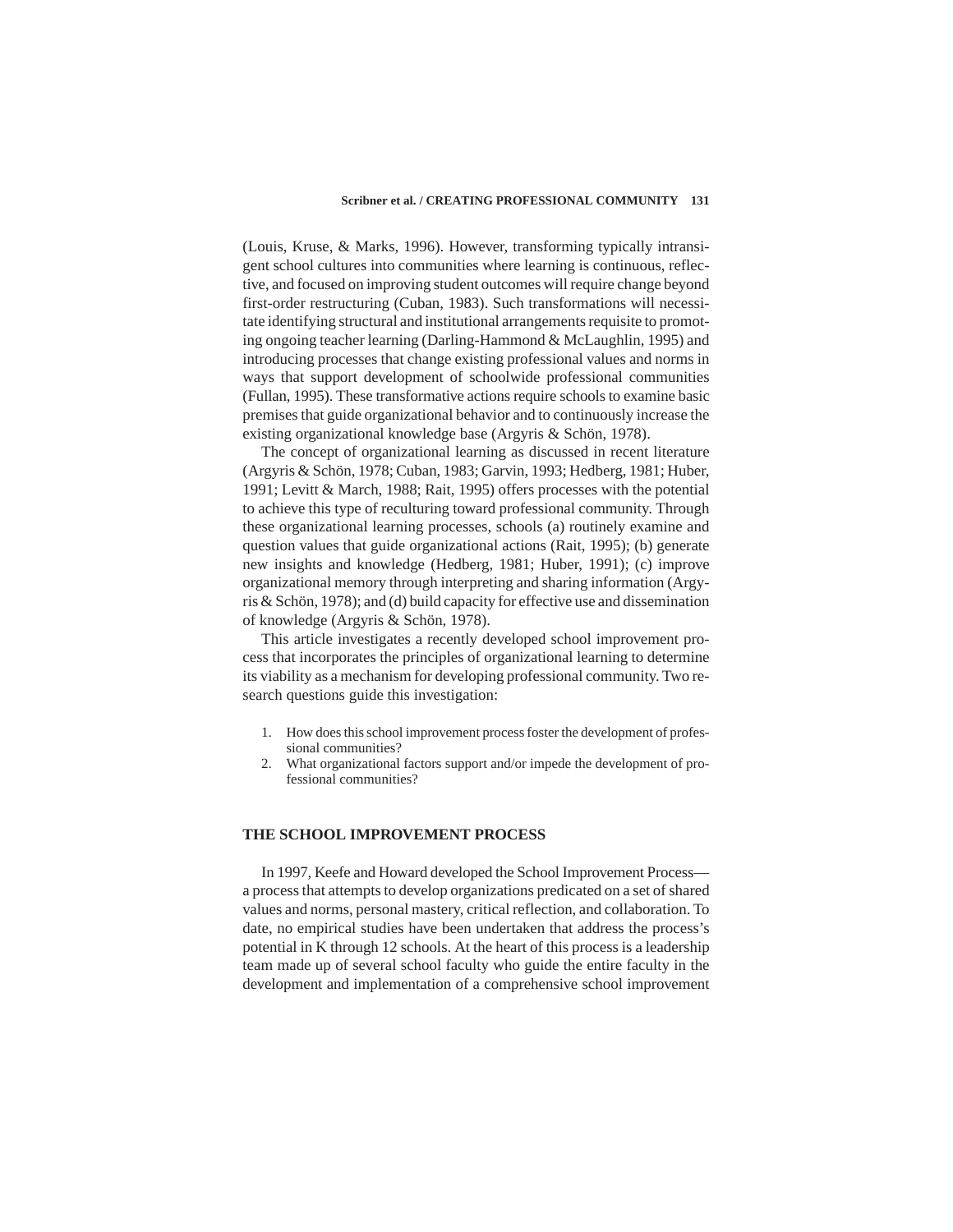(Louis, Kruse, & Marks, 1996). However, transforming typically intransigent school cultures into communities where learning is continuous, reflective, and focused on improving student outcomes will require change beyond first-order restructuring (Cuban, 1983). Such transformations will necessitate identifying structural and institutional arrangements requisite to promoting ongoing teacher learning (Darling-Hammond & McLaughlin, 1995) and introducing processes that change existing professional values and norms in ways that support development of schoolwide professional communities (Fullan, 1995). These transformative actions require schools to examine basic premises that guide organizational behavior and to continuously increase the existing organizational knowledge base (Argyris & Schön, 1978).

The concept of organizational learning as discussed in recent literature (Argyris & Schön, 1978; Cuban, 1983; Garvin, 1993; Hedberg, 1981; Huber, 1991; Levitt & March, 1988; Rait, 1995) offers processes with the potential to achieve this type of reculturing toward professional community. Through these organizational learning processes, schools (a) routinely examine and question values that guide organizational actions (Rait, 1995); (b) generate new insights and knowledge (Hedberg, 1981; Huber, 1991); (c) improve organizational memory through interpreting and sharing information (Argyris & Schön, 1978); and (d) build capacity for effective use and dissemination of knowledge (Argyris & Schön, 1978).

This article investigates a recently developed school improvement process that incorporates the principles of organizational learning to determine its viability as a mechanism for developing professional community. Two research questions guide this investigation:

- 1. How does this school improvement process foster the development of professional communities?
- 2. What organizational factors support and/or impede the development of professional communities?

# **THE SCHOOL IMPROVEMENT PROCESS**

In 1997, Keefe and Howard developed the School Improvement Process a process that attempts to develop organizations predicated on a set of shared values and norms, personal mastery, critical reflection, and collaboration. To date, no empirical studies have been undertaken that address the process's potential in K through 12 schools. At the heart of this process is a leadership team made up of several school faculty who guide the entire faculty in the development and implementation of a comprehensive school improvement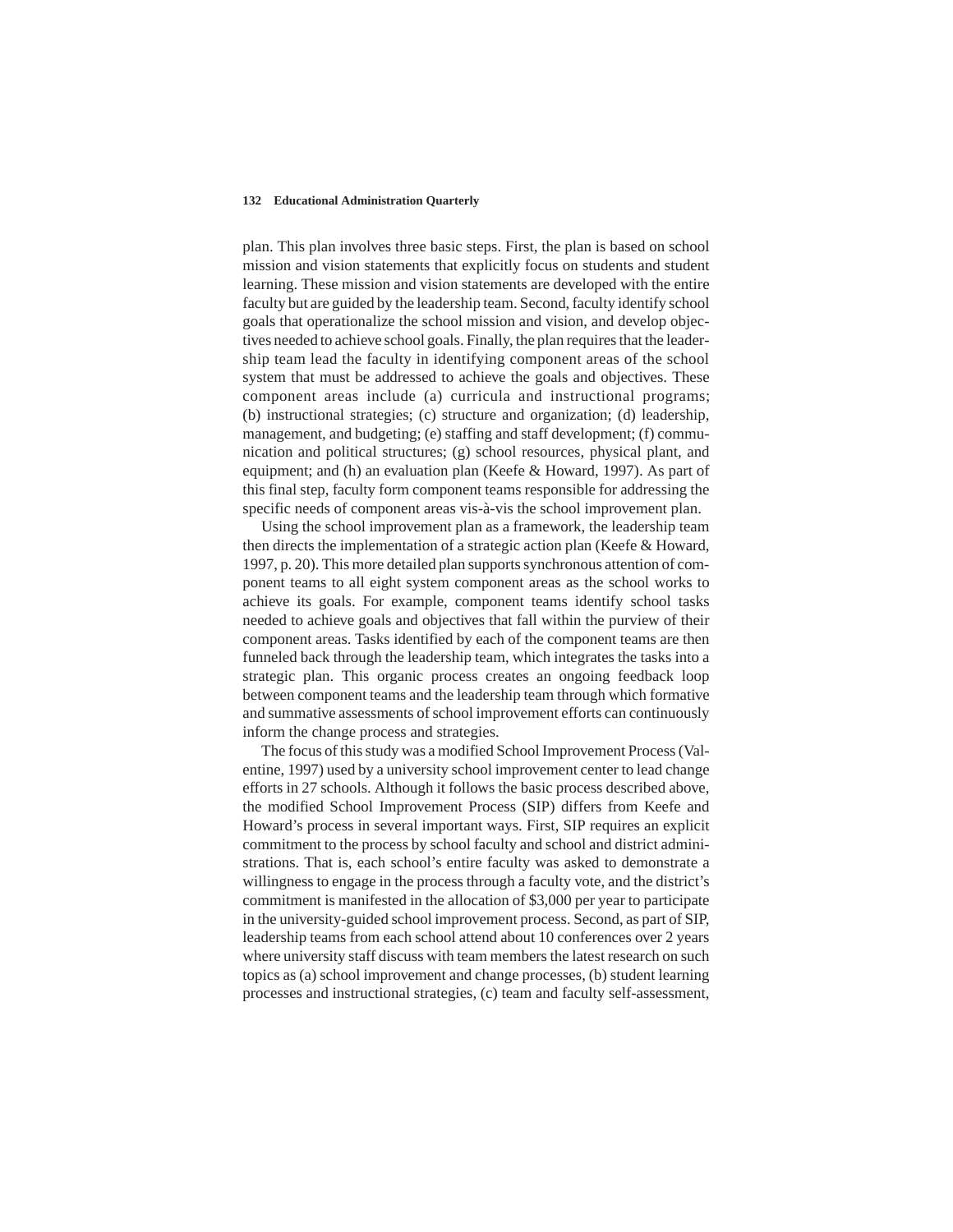plan. This plan involves three basic steps. First, the plan is based on school mission and vision statements that explicitly focus on students and student learning. These mission and vision statements are developed with the entire faculty but are guided by the leadership team. Second, faculty identify school goals that operationalize the school mission and vision, and develop objectives needed to achieve school goals. Finally, the plan requires that the leadership team lead the faculty in identifying component areas of the school system that must be addressed to achieve the goals and objectives. These component areas include (a) curricula and instructional programs; (b) instructional strategies; (c) structure and organization; (d) leadership, management, and budgeting; (e) staffing and staff development; (f) communication and political structures; (g) school resources, physical plant, and equipment; and (h) an evaluation plan (Keefe & Howard, 1997). As part of this final step, faculty form component teams responsible for addressing the specific needs of component areas vis-à-vis the school improvement plan.

Using the school improvement plan as a framework, the leadership team then directs the implementation of a strategic action plan (Keefe & Howard, 1997, p. 20). This more detailed plan supports synchronous attention of component teams to all eight system component areas as the school works to achieve its goals. For example, component teams identify school tasks needed to achieve goals and objectives that fall within the purview of their component areas. Tasks identified by each of the component teams are then funneled back through the leadership team, which integrates the tasks into a strategic plan. This organic process creates an ongoing feedback loop between component teams and the leadership team through which formative and summative assessments of school improvement efforts can continuously inform the change process and strategies.

The focus of this study was a modified School Improvement Process (Valentine, 1997) used by a university school improvement center to lead change efforts in 27 schools. Although it follows the basic process described above, the modified School Improvement Process (SIP) differs from Keefe and Howard's process in several important ways. First, SIP requires an explicit commitment to the process by school faculty and school and district administrations. That is, each school's entire faculty was asked to demonstrate a willingness to engage in the process through a faculty vote, and the district's commitment is manifested in the allocation of \$3,000 per year to participate in the university-guided school improvement process. Second, as part of SIP, leadership teams from each school attend about 10 conferences over 2 years where university staff discuss with team members the latest research on such topics as (a) school improvement and change processes, (b) student learning processes and instructional strategies, (c) team and faculty self-assessment,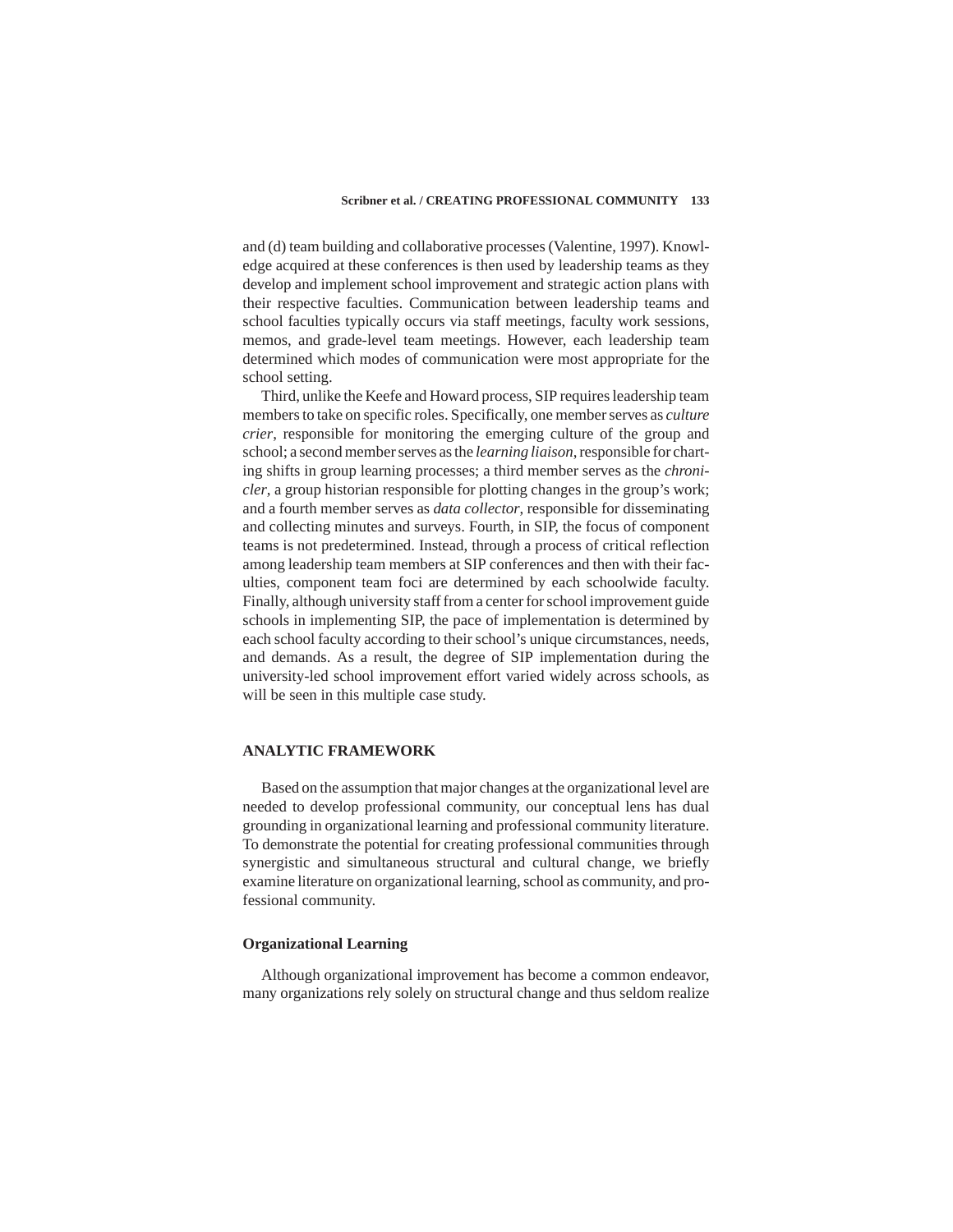and (d) team building and collaborative processes (Valentine, 1997). Knowledge acquired at these conferences is then used by leadership teams as they develop and implement school improvement and strategic action plans with their respective faculties. Communication between leadership teams and school faculties typically occurs via staff meetings, faculty work sessions, memos, and grade-level team meetings. However, each leadership team determined which modes of communication were most appropriate for the school setting.

Third, unlike the Keefe and Howard process, SIP requires leadership team members to take on specific roles. Specifically, one member serves as *culture crier*, responsible for monitoring the emerging culture of the group and school; a second member serves as the *learning liaison*, responsible for charting shifts in group learning processes; a third member serves as the *chronicler*, a group historian responsible for plotting changes in the group's work; and a fourth member serves as *data collector*, responsible for disseminating and collecting minutes and surveys. Fourth, in SIP, the focus of component teams is not predetermined. Instead, through a process of critical reflection among leadership team members at SIP conferences and then with their faculties, component team foci are determined by each schoolwide faculty. Finally, although university staff from a center for school improvement guide schools in implementing SIP, the pace of implementation is determined by each school faculty according to their school's unique circumstances, needs, and demands. As a result, the degree of SIP implementation during the university-led school improvement effort varied widely across schools, as will be seen in this multiple case study.

# **ANALYTIC FRAMEWORK**

Based on the assumption that major changes at the organizational level are needed to develop professional community, our conceptual lens has dual grounding in organizational learning and professional community literature. To demonstrate the potential for creating professional communities through synergistic and simultaneous structural and cultural change, we briefly examine literature on organizational learning, school as community, and professional community.

### **Organizational Learning**

Although organizational improvement has become a common endeavor, many organizations rely solely on structural change and thus seldom realize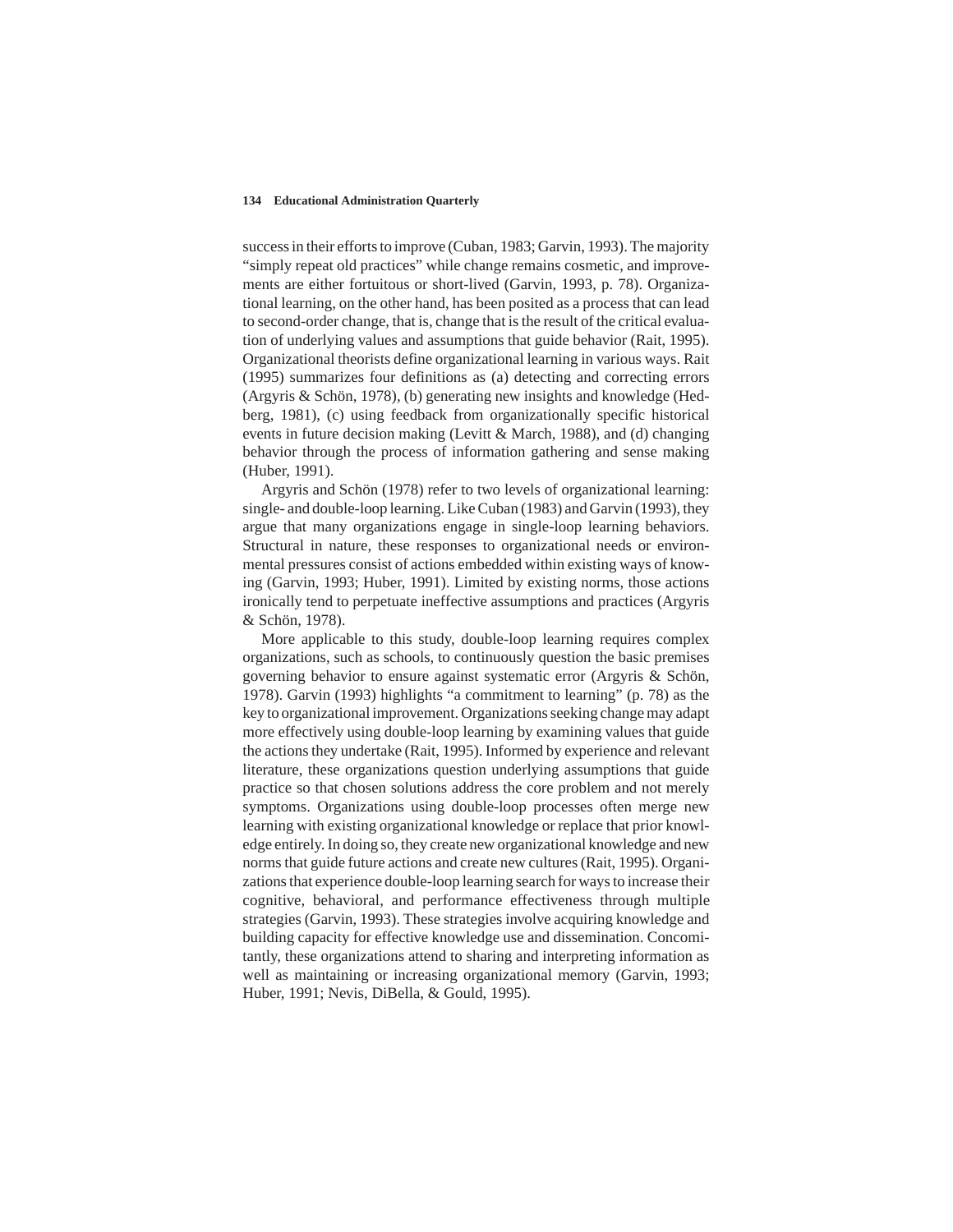success in their efforts to improve (Cuban, 1983; Garvin, 1993). The majority "simply repeat old practices" while change remains cosmetic, and improvements are either fortuitous or short-lived (Garvin, 1993, p. 78). Organizational learning, on the other hand, has been posited as a process that can lead to second-order change, that is, change that is the result of the critical evaluation of underlying values and assumptions that guide behavior (Rait, 1995). Organizational theorists define organizational learning in various ways. Rait (1995) summarizes four definitions as (a) detecting and correcting errors (Argyris & Schön, 1978), (b) generating new insights and knowledge (Hedberg, 1981), (c) using feedback from organizationally specific historical events in future decision making (Levitt & March, 1988), and (d) changing behavior through the process of information gathering and sense making (Huber, 1991).

Argyris and Schön (1978) refer to two levels of organizational learning: single- and double-loop learning. Like Cuban (1983) and Garvin (1993), they argue that many organizations engage in single-loop learning behaviors. Structural in nature, these responses to organizational needs or environmental pressures consist of actions embedded within existing ways of knowing (Garvin, 1993; Huber, 1991). Limited by existing norms, those actions ironically tend to perpetuate ineffective assumptions and practices (Argyris & Schön, 1978).

More applicable to this study, double-loop learning requires complex organizations, such as schools, to continuously question the basic premises governing behavior to ensure against systematic error (Argyris & Schön, 1978). Garvin (1993) highlights "a commitment to learning" (p. 78) as the key to organizational improvement. Organizations seeking change may adapt more effectively using double-loop learning by examining values that guide the actions they undertake (Rait, 1995). Informed by experience and relevant literature, these organizations question underlying assumptions that guide practice so that chosen solutions address the core problem and not merely symptoms. Organizations using double-loop processes often merge new learning with existing organizational knowledge or replace that prior knowledge entirely. In doing so, they create new organizational knowledge and new norms that guide future actions and create new cultures (Rait, 1995). Organizations that experience double-loop learning search for ways to increase their cognitive, behavioral, and performance effectiveness through multiple strategies (Garvin, 1993). These strategies involve acquiring knowledge and building capacity for effective knowledge use and dissemination. Concomitantly, these organizations attend to sharing and interpreting information as well as maintaining or increasing organizational memory (Garvin, 1993; Huber, 1991; Nevis, DiBella, & Gould, 1995).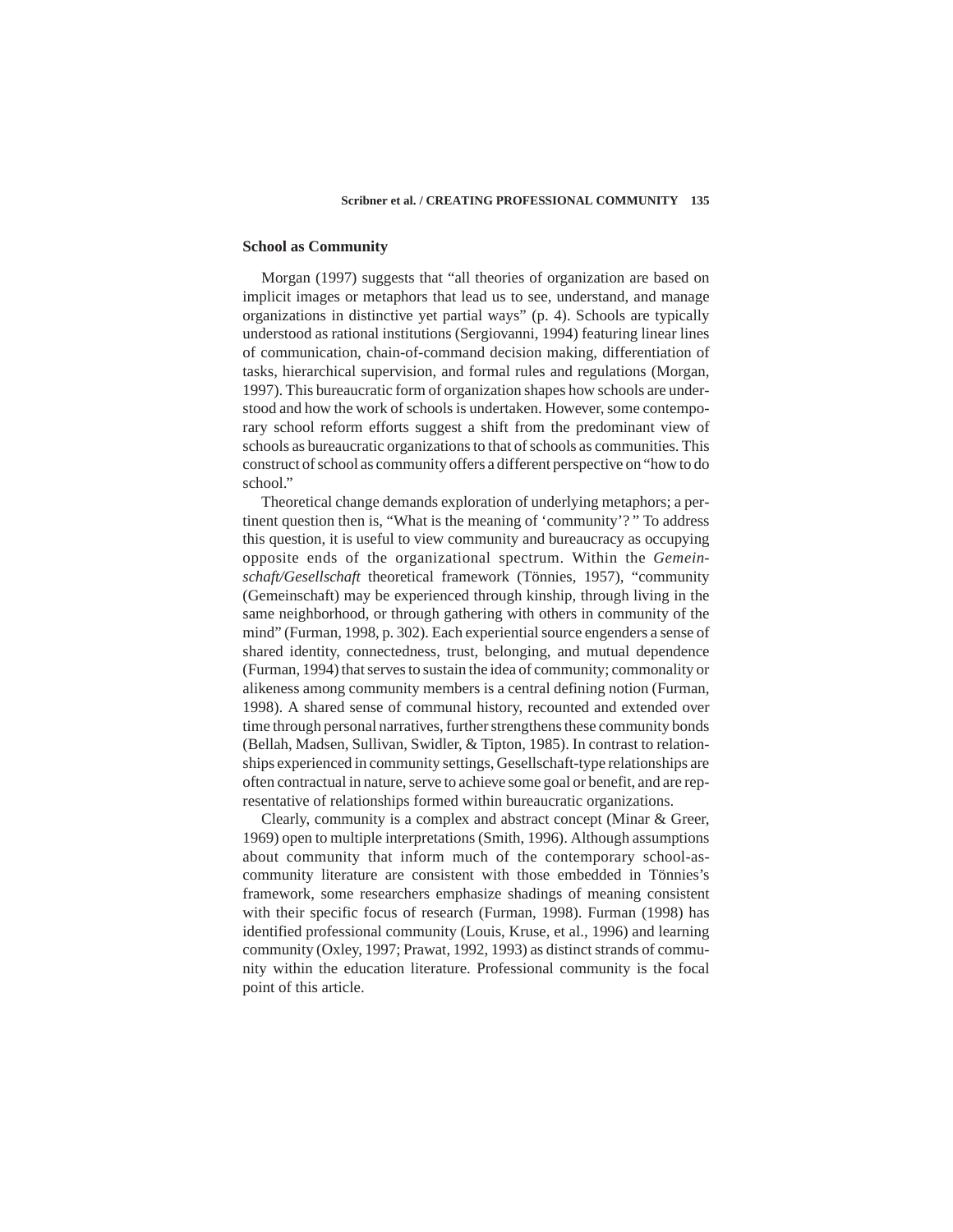# **School as Community**

Morgan (1997) suggests that "all theories of organization are based on implicit images or metaphors that lead us to see, understand, and manage organizations in distinctive yet partial ways" (p. 4). Schools are typically understood as rational institutions (Sergiovanni, 1994) featuring linear lines of communication, chain-of-command decision making, differentiation of tasks, hierarchical supervision, and formal rules and regulations (Morgan, 1997). This bureaucratic form of organization shapes how schools are understood and how the work of schools is undertaken. However, some contemporary school reform efforts suggest a shift from the predominant view of schools as bureaucratic organizations to that of schools as communities. This construct of school as community offers a different perspective on "how to do school."

Theoretical change demands exploration of underlying metaphors; a pertinent question then is, "What is the meaning of 'community'? " To address this question, it is useful to view community and bureaucracy as occupying opposite ends of the organizational spectrum. Within the *Gemeinschaft/Gesellschaft* theoretical framework (Tönnies, 1957), "community (Gemeinschaft) may be experienced through kinship, through living in the same neighborhood, or through gathering with others in community of the mind" (Furman, 1998, p. 302). Each experiential source engenders a sense of shared identity, connectedness, trust, belonging, and mutual dependence (Furman, 1994) that serves to sustain the idea of community; commonality or alikeness among community members is a central defining notion (Furman, 1998). A shared sense of communal history, recounted and extended over time through personal narratives, further strengthens these community bonds (Bellah, Madsen, Sullivan, Swidler, & Tipton, 1985). In contrast to relationships experienced in community settings, Gesellschaft-type relationships are often contractual in nature, serve to achieve some goal or benefit, and are representative of relationships formed within bureaucratic organizations.

Clearly, community is a complex and abstract concept (Minar & Greer, 1969) open to multiple interpretations (Smith, 1996). Although assumptions about community that inform much of the contemporary school-ascommunity literature are consistent with those embedded in Tönnies's framework, some researchers emphasize shadings of meaning consistent with their specific focus of research (Furman, 1998). Furman (1998) has identified professional community (Louis, Kruse, et al., 1996) and learning community (Oxley, 1997; Prawat, 1992, 1993) as distinct strands of community within the education literature. Professional community is the focal point of this article.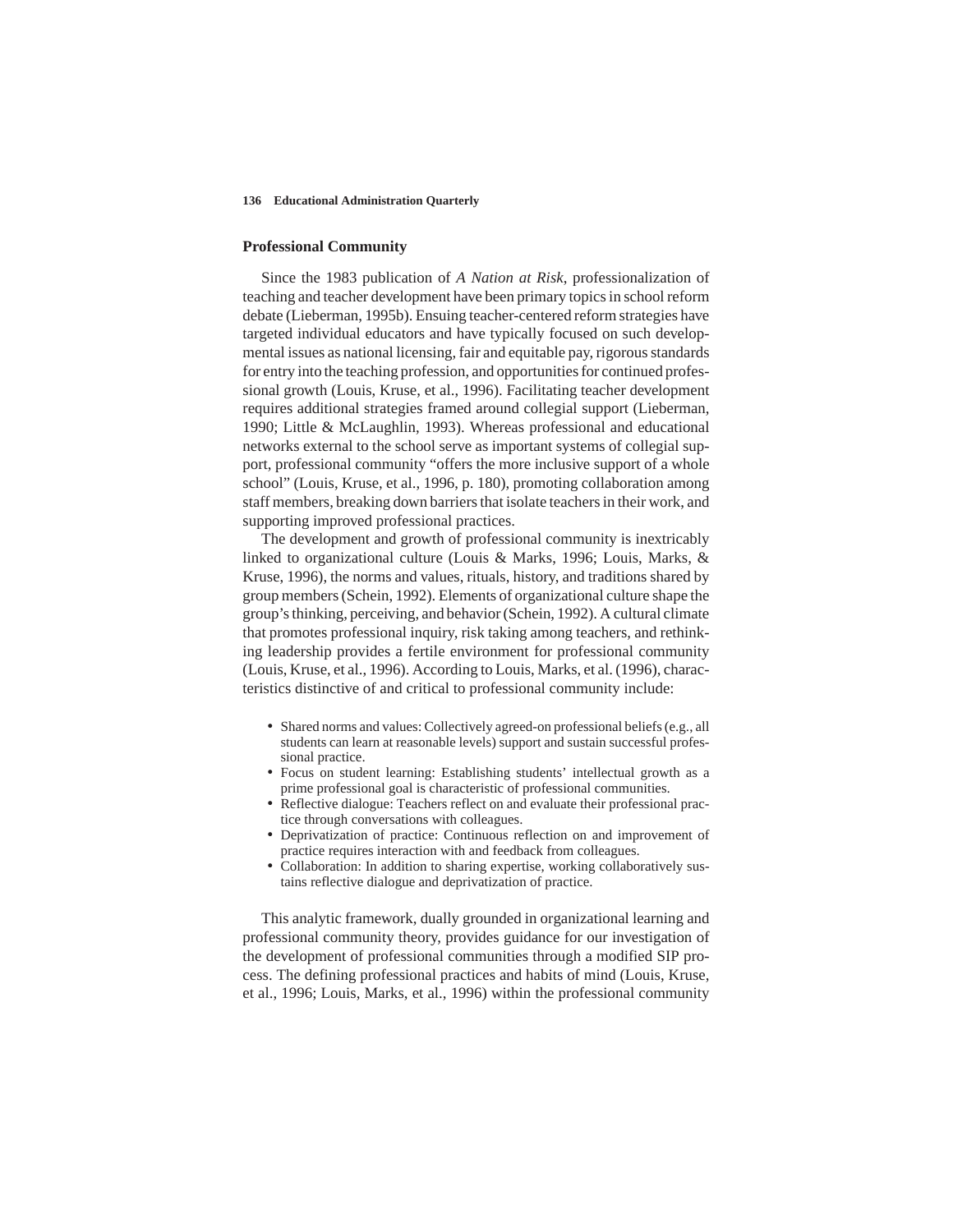# **Professional Community**

Since the 1983 publication of *A Nation at Risk*, professionalization of teaching and teacher development have been primary topics in school reform debate (Lieberman, 1995b). Ensuing teacher-centered reform strategies have targeted individual educators and have typically focused on such developmental issues as national licensing, fair and equitable pay, rigorous standards for entry into the teaching profession, and opportunities for continued professional growth (Louis, Kruse, et al., 1996). Facilitating teacher development requires additional strategies framed around collegial support (Lieberman, 1990; Little & McLaughlin, 1993). Whereas professional and educational networks external to the school serve as important systems of collegial support, professional community "offers the more inclusive support of a whole school" (Louis, Kruse, et al., 1996, p. 180), promoting collaboration among staff members, breaking down barriers that isolate teachers in their work, and supporting improved professional practices.

The development and growth of professional community is inextricably linked to organizational culture (Louis & Marks, 1996; Louis, Marks, & Kruse, 1996), the norms and values, rituals, history, and traditions shared by group members (Schein, 1992). Elements of organizational culture shape the group's thinking, perceiving, and behavior (Schein, 1992). A cultural climate that promotes professional inquiry, risk taking among teachers, and rethinking leadership provides a fertile environment for professional community (Louis, Kruse, et al., 1996). According to Louis, Marks, et al. (1996), characteristics distinctive of and critical to professional community include:

- Shared norms and values: Collectively agreed-on professional beliefs (e.g., all students can learn at reasonable levels) support and sustain successful professional practice.
- Focus on student learning: Establishing students' intellectual growth as a prime professional goal is characteristic of professional communities.
- Reflective dialogue: Teachers reflect on and evaluate their professional practice through conversations with colleagues.
- Deprivatization of practice: Continuous reflection on and improvement of practice requires interaction with and feedback from colleagues.
- Collaboration: In addition to sharing expertise, working collaboratively sustains reflective dialogue and deprivatization of practice.

This analytic framework, dually grounded in organizational learning and professional community theory, provides guidance for our investigation of the development of professional communities through a modified SIP process. The defining professional practices and habits of mind (Louis, Kruse, et al., 1996; Louis, Marks, et al., 1996) within the professional community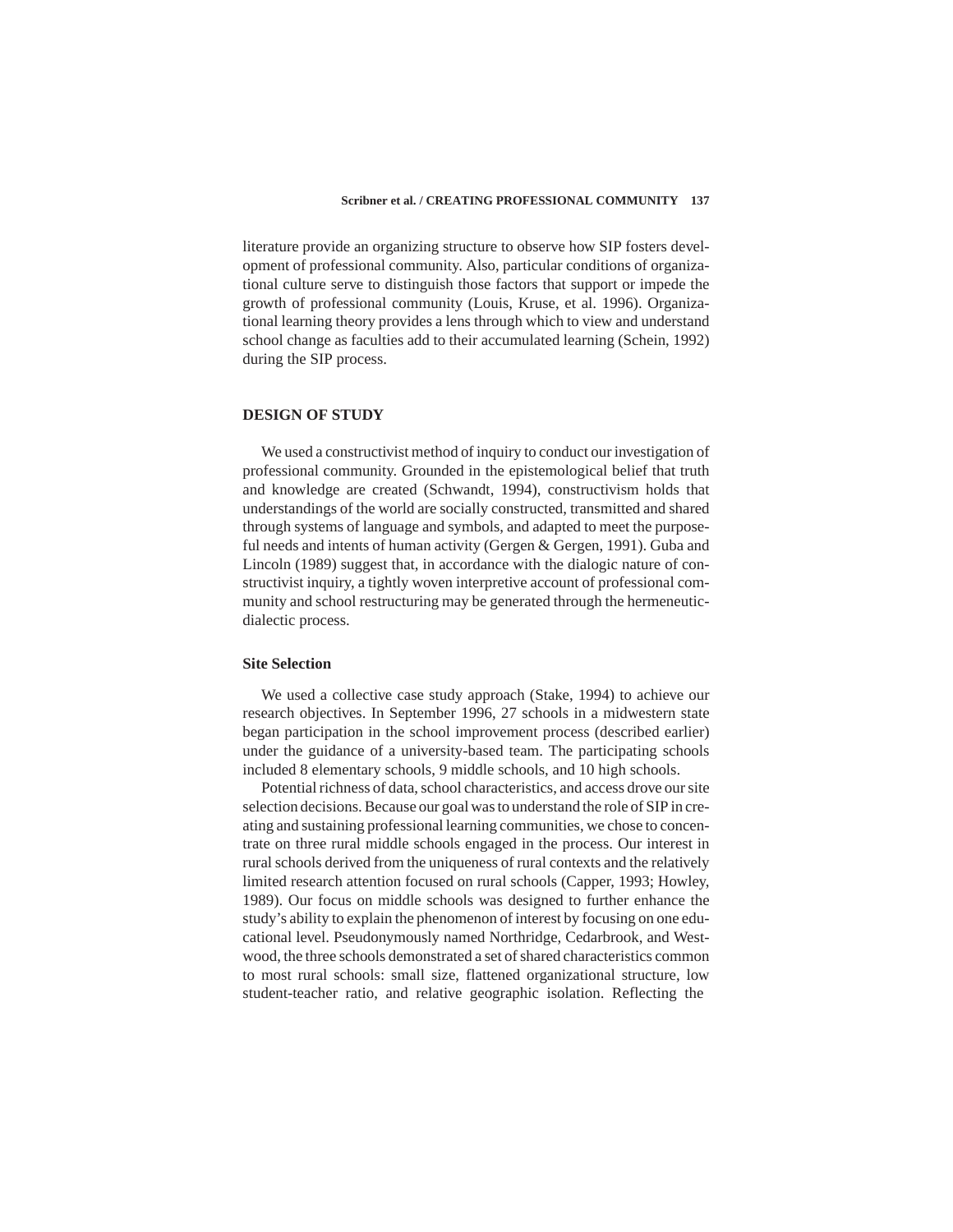literature provide an organizing structure to observe how SIP fosters development of professional community. Also, particular conditions of organizational culture serve to distinguish those factors that support or impede the growth of professional community (Louis, Kruse, et al. 1996). Organizational learning theory provides a lens through which to view and understand school change as faculties add to their accumulated learning (Schein, 1992) during the SIP process.

# **DESIGN OF STUDY**

We used a constructivist method of inquiry to conduct our investigation of professional community. Grounded in the epistemological belief that truth and knowledge are created (Schwandt, 1994), constructivism holds that understandings of the world are socially constructed, transmitted and shared through systems of language and symbols, and adapted to meet the purposeful needs and intents of human activity (Gergen & Gergen, 1991). Guba and Lincoln (1989) suggest that, in accordance with the dialogic nature of constructivist inquiry, a tightly woven interpretive account of professional community and school restructuring may be generated through the hermeneuticdialectic process.

# **Site Selection**

We used a collective case study approach (Stake, 1994) to achieve our research objectives. In September 1996, 27 schools in a midwestern state began participation in the school improvement process (described earlier) under the guidance of a university-based team. The participating schools included 8 elementary schools, 9 middle schools, and 10 high schools.

Potential richness of data, school characteristics, and access drove our site selection decisions. Because our goal was to understand the role of SIP in creating and sustaining professional learning communities, we chose to concentrate on three rural middle schools engaged in the process. Our interest in rural schools derived from the uniqueness of rural contexts and the relatively limited research attention focused on rural schools (Capper, 1993; Howley, 1989). Our focus on middle schools was designed to further enhance the study's ability to explain the phenomenon of interest by focusing on one educational level. Pseudonymously named Northridge, Cedarbrook, and Westwood, the three schools demonstrated a set of shared characteristics common to most rural schools: small size, flattened organizational structure, low student-teacher ratio, and relative geographic isolation. Reflecting the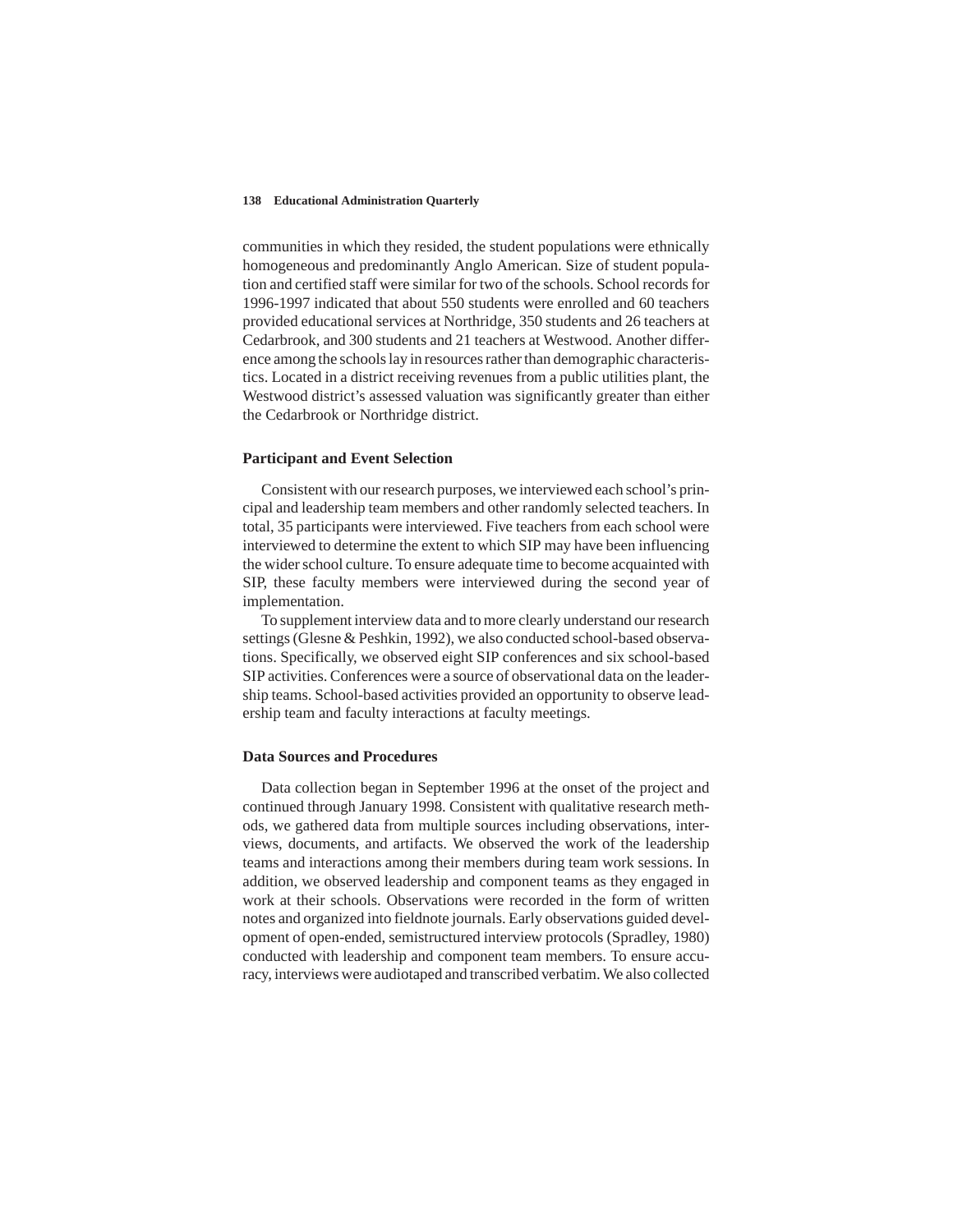communities in which they resided, the student populations were ethnically homogeneous and predominantly Anglo American. Size of student population and certified staff were similar for two of the schools. School records for 1996-1997 indicated that about 550 students were enrolled and 60 teachers provided educational services at Northridge, 350 students and 26 teachers at Cedarbrook, and 300 students and 21 teachers at Westwood. Another difference among the schools lay in resources rather than demographic characteristics. Located in a district receiving revenues from a public utilities plant, the Westwood district's assessed valuation was significantly greater than either the Cedarbrook or Northridge district.

### **Participant and Event Selection**

Consistent with our research purposes, we interviewed each school's principal and leadership team members and other randomly selected teachers. In total, 35 participants were interviewed. Five teachers from each school were interviewed to determine the extent to which SIP may have been influencing the wider school culture. To ensure adequate time to become acquainted with SIP, these faculty members were interviewed during the second year of implementation.

To supplement interview data and to more clearly understand our research settings (Glesne & Peshkin, 1992), we also conducted school-based observations. Specifically, we observed eight SIP conferences and six school-based SIP activities. Conferences were a source of observational data on the leadership teams. School-based activities provided an opportunity to observe leadership team and faculty interactions at faculty meetings.

### **Data Sources and Procedures**

Data collection began in September 1996 at the onset of the project and continued through January 1998. Consistent with qualitative research methods, we gathered data from multiple sources including observations, interviews, documents, and artifacts. We observed the work of the leadership teams and interactions among their members during team work sessions. In addition, we observed leadership and component teams as they engaged in work at their schools. Observations were recorded in the form of written notes and organized into fieldnote journals. Early observations guided development of open-ended, semistructured interview protocols (Spradley, 1980) conducted with leadership and component team members. To ensure accuracy, interviews were audiotaped and transcribed verbatim. We also collected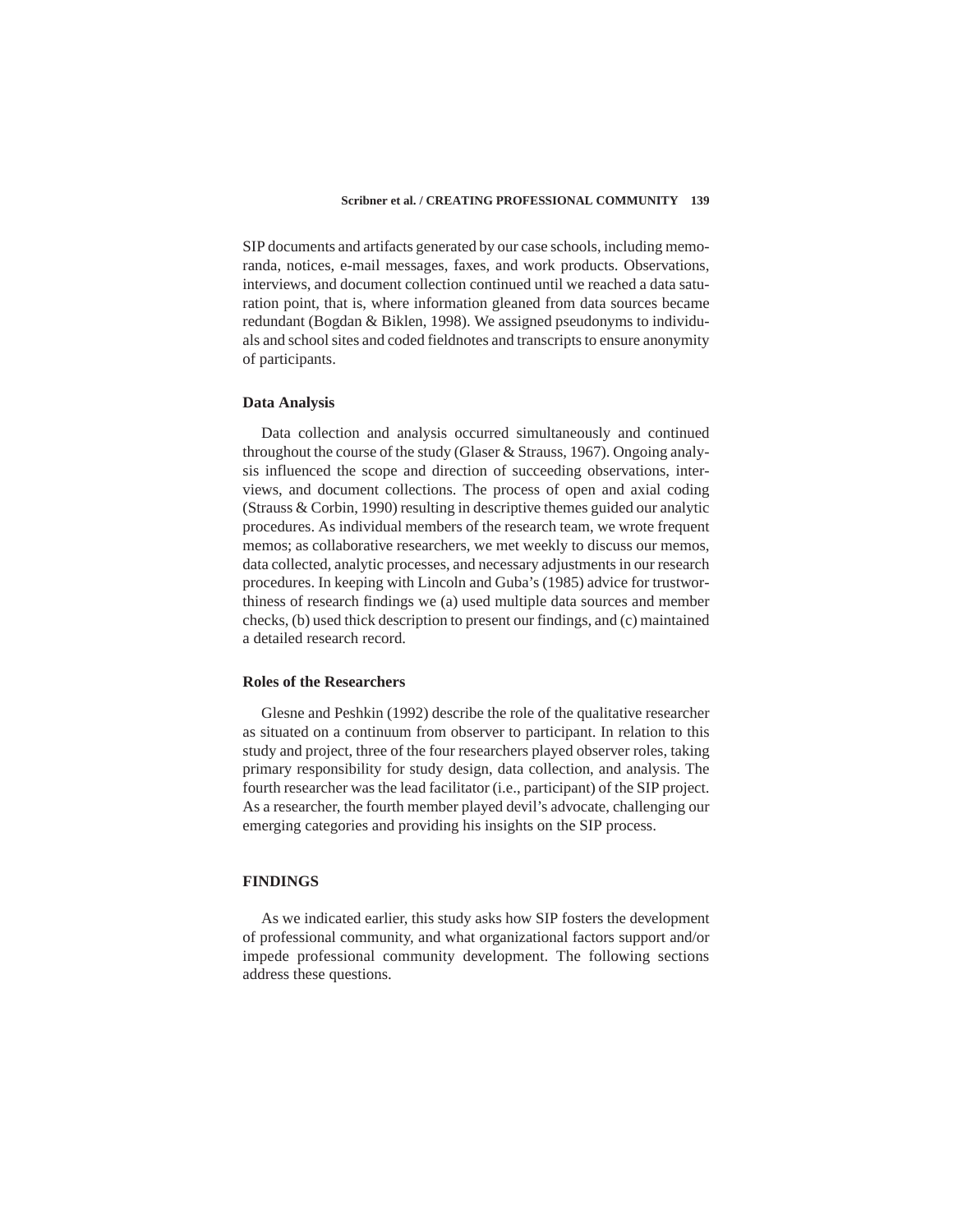SIP documents and artifacts generated by our case schools, including memoranda, notices, e-mail messages, faxes, and work products. Observations, interviews, and document collection continued until we reached a data saturation point, that is, where information gleaned from data sources became redundant (Bogdan & Biklen, 1998). We assigned pseudonyms to individuals and school sites and coded fieldnotes and transcripts to ensure anonymity of participants.

# **Data Analysis**

Data collection and analysis occurred simultaneously and continued throughout the course of the study (Glaser & Strauss, 1967). Ongoing analysis influenced the scope and direction of succeeding observations, interviews, and document collections. The process of open and axial coding (Strauss & Corbin, 1990) resulting in descriptive themes guided our analytic procedures. As individual members of the research team, we wrote frequent memos; as collaborative researchers, we met weekly to discuss our memos, data collected, analytic processes, and necessary adjustments in our research procedures. In keeping with Lincoln and Guba's (1985) advice for trustworthiness of research findings we (a) used multiple data sources and member checks, (b) used thick description to present our findings, and (c) maintained a detailed research record.

### **Roles of the Researchers**

Glesne and Peshkin (1992) describe the role of the qualitative researcher as situated on a continuum from observer to participant. In relation to this study and project, three of the four researchers played observer roles, taking primary responsibility for study design, data collection, and analysis. The fourth researcher was the lead facilitator (i.e., participant) of the SIP project. As a researcher, the fourth member played devil's advocate, challenging our emerging categories and providing his insights on the SIP process.

# **FINDINGS**

As we indicated earlier, this study asks how SIP fosters the development of professional community, and what organizational factors support and/or impede professional community development. The following sections address these questions.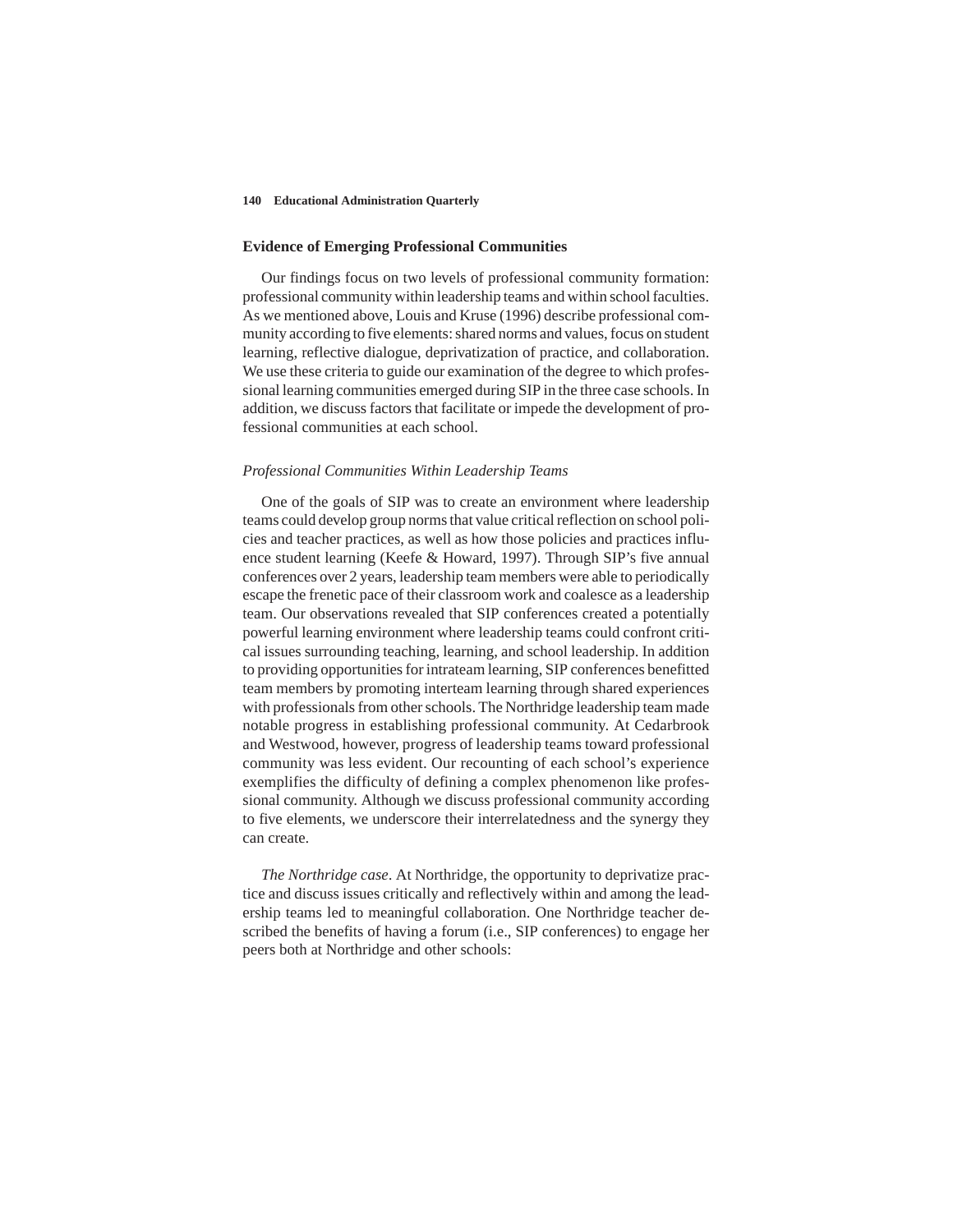# **Evidence of Emerging Professional Communities**

Our findings focus on two levels of professional community formation: professional community within leadership teams and within school faculties. As we mentioned above, Louis and Kruse (1996) describe professional community according to five elements: shared norms and values, focus on student learning, reflective dialogue, deprivatization of practice, and collaboration. We use these criteria to guide our examination of the degree to which professional learning communities emerged during SIP in the three case schools. In addition, we discuss factors that facilitate or impede the development of professional communities at each school.

# *Professional Communities Within Leadership Teams*

One of the goals of SIP was to create an environment where leadership teams could develop group norms that value critical reflection on school policies and teacher practices, as well as how those policies and practices influence student learning (Keefe & Howard, 1997). Through SIP's five annual conferences over 2 years, leadership team members were able to periodically escape the frenetic pace of their classroom work and coalesce as a leadership team. Our observations revealed that SIP conferences created a potentially powerful learning environment where leadership teams could confront critical issues surrounding teaching, learning, and school leadership. In addition to providing opportunities for intrateam learning, SIP conferences benefitted team members by promoting interteam learning through shared experiences with professionals from other schools. The Northridge leadership team made notable progress in establishing professional community. At Cedarbrook and Westwood, however, progress of leadership teams toward professional community was less evident. Our recounting of each school's experience exemplifies the difficulty of defining a complex phenomenon like professional community. Although we discuss professional community according to five elements, we underscore their interrelatedness and the synergy they can create.

*The Northridge case*. At Northridge, the opportunity to deprivatize practice and discuss issues critically and reflectively within and among the leadership teams led to meaningful collaboration. One Northridge teacher described the benefits of having a forum (i.e., SIP conferences) to engage her peers both at Northridge and other schools: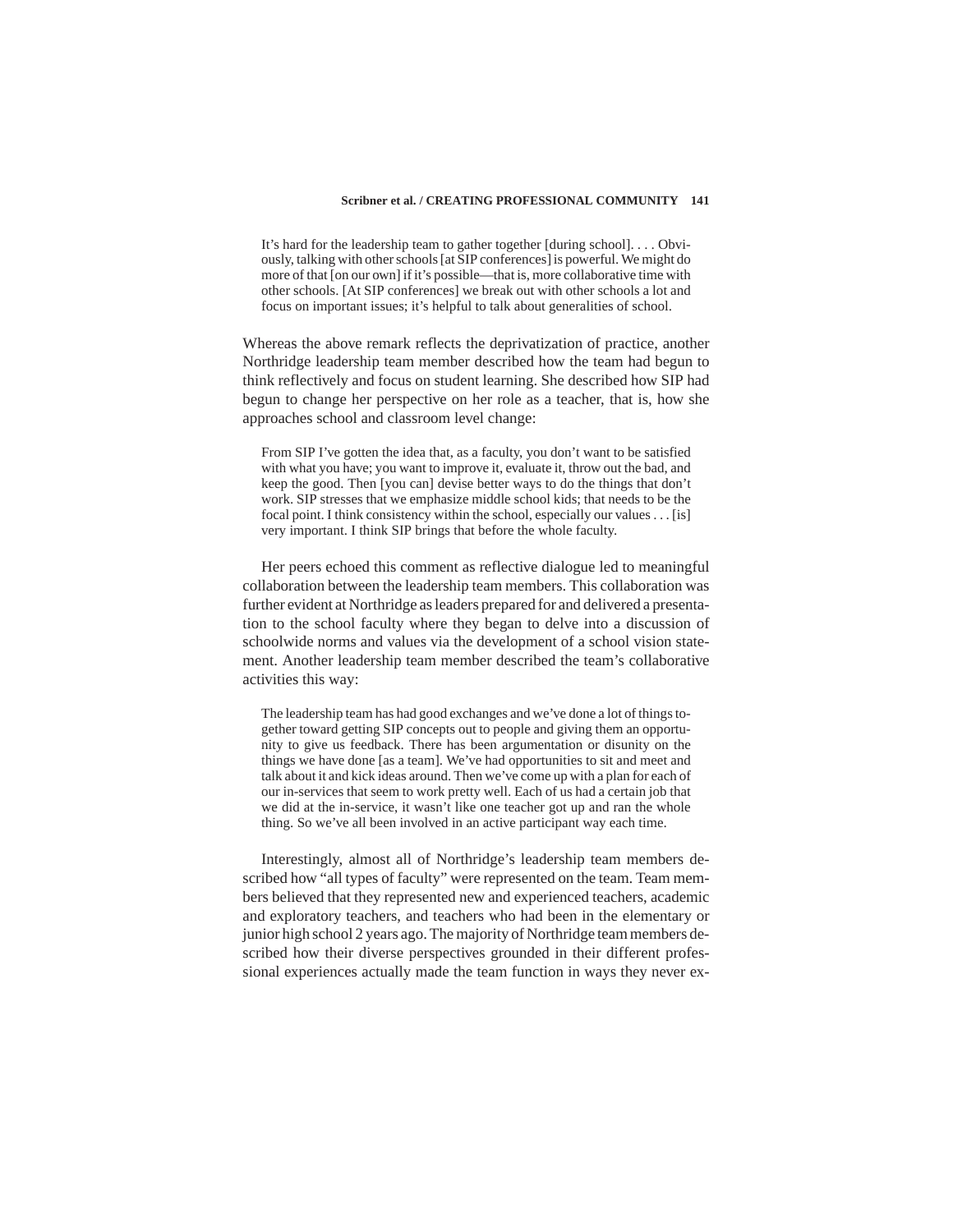It's hard for the leadership team to gather together [during school].... Obviously, talking with other schools [at SIP conferences] is powerful. We might do more of that [on our own] if it's possible—that is, more collaborative time with other schools. [At SIP conferences] we break out with other schools a lot and focus on important issues; it's helpful to talk about generalities of school.

Whereas the above remark reflects the deprivatization of practice, another Northridge leadership team member described how the team had begun to think reflectively and focus on student learning. She described how SIP had begun to change her perspective on her role as a teacher, that is, how she approaches school and classroom level change:

From SIP I've gotten the idea that, as a faculty, you don't want to be satisfied with what you have; you want to improve it, evaluate it, throw out the bad, and keep the good. Then [you can] devise better ways to do the things that don't work. SIP stresses that we emphasize middle school kids; that needs to be the focal point. I think consistency within the school, especially our values... [is] very important. I think SIP brings that before the whole faculty.

Her peers echoed this comment as reflective dialogue led to meaningful collaboration between the leadership team members. This collaboration was further evident at Northridge as leaders prepared for and delivered a presentation to the school faculty where they began to delve into a discussion of schoolwide norms and values via the development of a school vision statement. Another leadership team member described the team's collaborative activities this way:

The leadership team has had good exchanges and we've done a lot of things together toward getting SIP concepts out to people and giving them an opportunity to give us feedback. There has been argumentation or disunity on the things we have done [as a team]. We've had opportunities to sit and meet and talk about it and kick ideas around. Then we've come up with a plan for each of our in-services that seem to work pretty well. Each of us had a certain job that we did at the in-service, it wasn't like one teacher got up and ran the whole thing. So we've all been involved in an active participant way each time.

Interestingly, almost all of Northridge's leadership team members described how "all types of faculty" were represented on the team. Team members believed that they represented new and experienced teachers, academic and exploratory teachers, and teachers who had been in the elementary or junior high school 2 years ago. The majority of Northridge team members described how their diverse perspectives grounded in their different professional experiences actually made the team function in ways they never ex-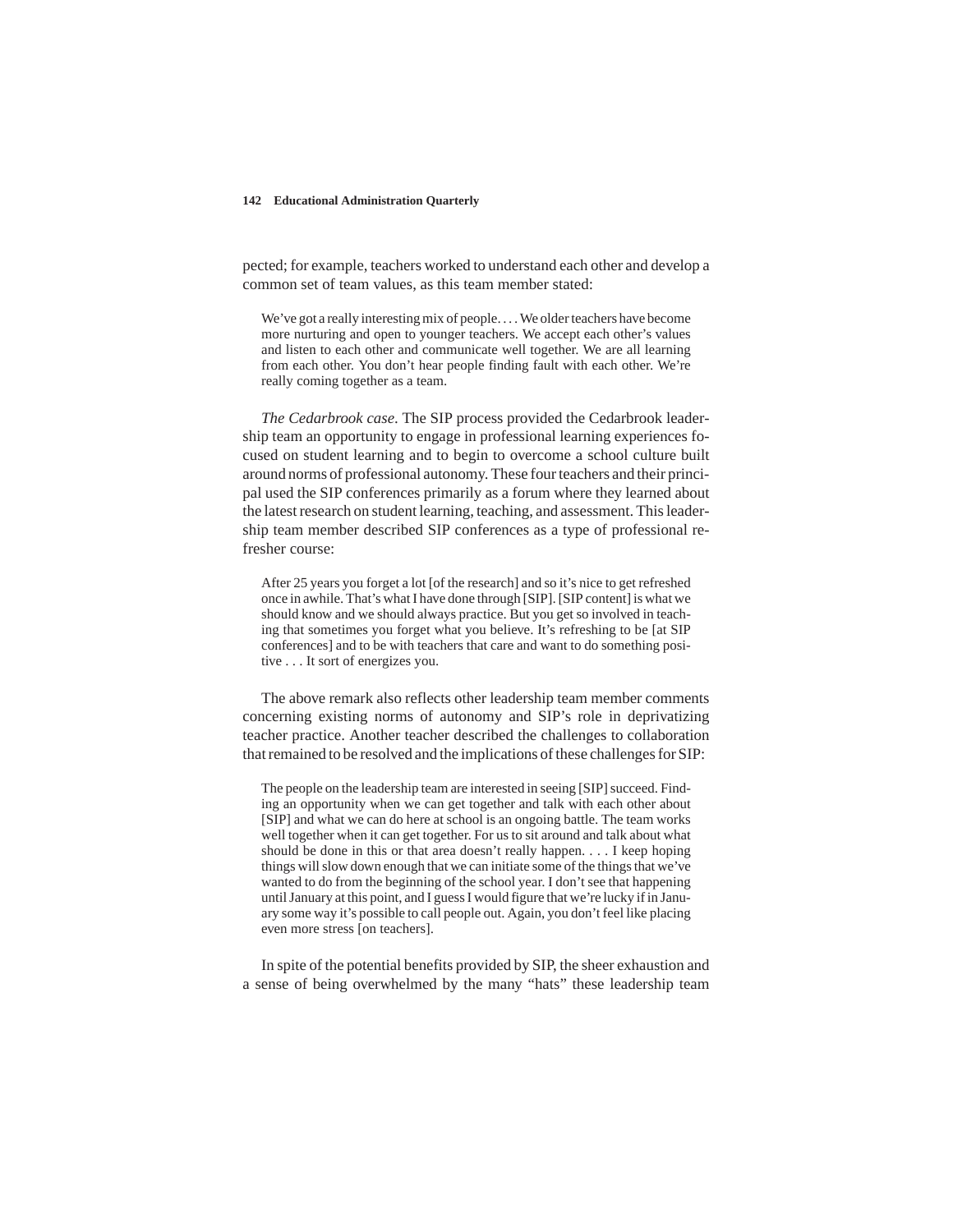pected; for example, teachers worked to understand each other and develop a common set of team values, as this team member stated:

We've got a really interesting mix of people. . . . We older teachers have become more nurturing and open to younger teachers. We accept each other's values and listen to each other and communicate well together. We are all learning from each other. You don't hear people finding fault with each other. We're really coming together as a team.

*The Cedarbrook case*. The SIP process provided the Cedarbrook leadership team an opportunity to engage in professional learning experiences focused on student learning and to begin to overcome a school culture built around norms of professional autonomy. These four teachers and their principal used the SIP conferences primarily as a forum where they learned about the latest research on student learning, teaching, and assessment. This leadership team member described SIP conferences as a type of professional refresher course:

After 25 years you forget a lot [of the research] and so it's nice to get refreshed once in awhile. That's what I have done through [SIP]. [SIP content] is what we should know and we should always practice. But you get so involved in teaching that sometimes you forget what you believe. It's refreshing to be [at SIP conferences] and to be with teachers that care and want to do something positive . . . It sort of energizes you.

The above remark also reflects other leadership team member comments concerning existing norms of autonomy and SIP's role in deprivatizing teacher practice. Another teacher described the challenges to collaboration that remained to be resolved and the implications of these challenges for SIP:

The people on the leadership team are interested in seeing [SIP] succeed. Finding an opportunity when we can get together and talk with each other about [SIP] and what we can do here at school is an ongoing battle. The team works well together when it can get together. For us to sit around and talk about what should be done in this or that area doesn't really happen. . . . I keep hoping things will slow down enough that we can initiate some of the things that we've wanted to do from the beginning of the school year. I don't see that happening until January at this point, and I guess I would figure that we're lucky if in January some way it's possible to call people out. Again, you don't feel like placing even more stress [on teachers].

In spite of the potential benefits provided by SIP, the sheer exhaustion and a sense of being overwhelmed by the many "hats" these leadership team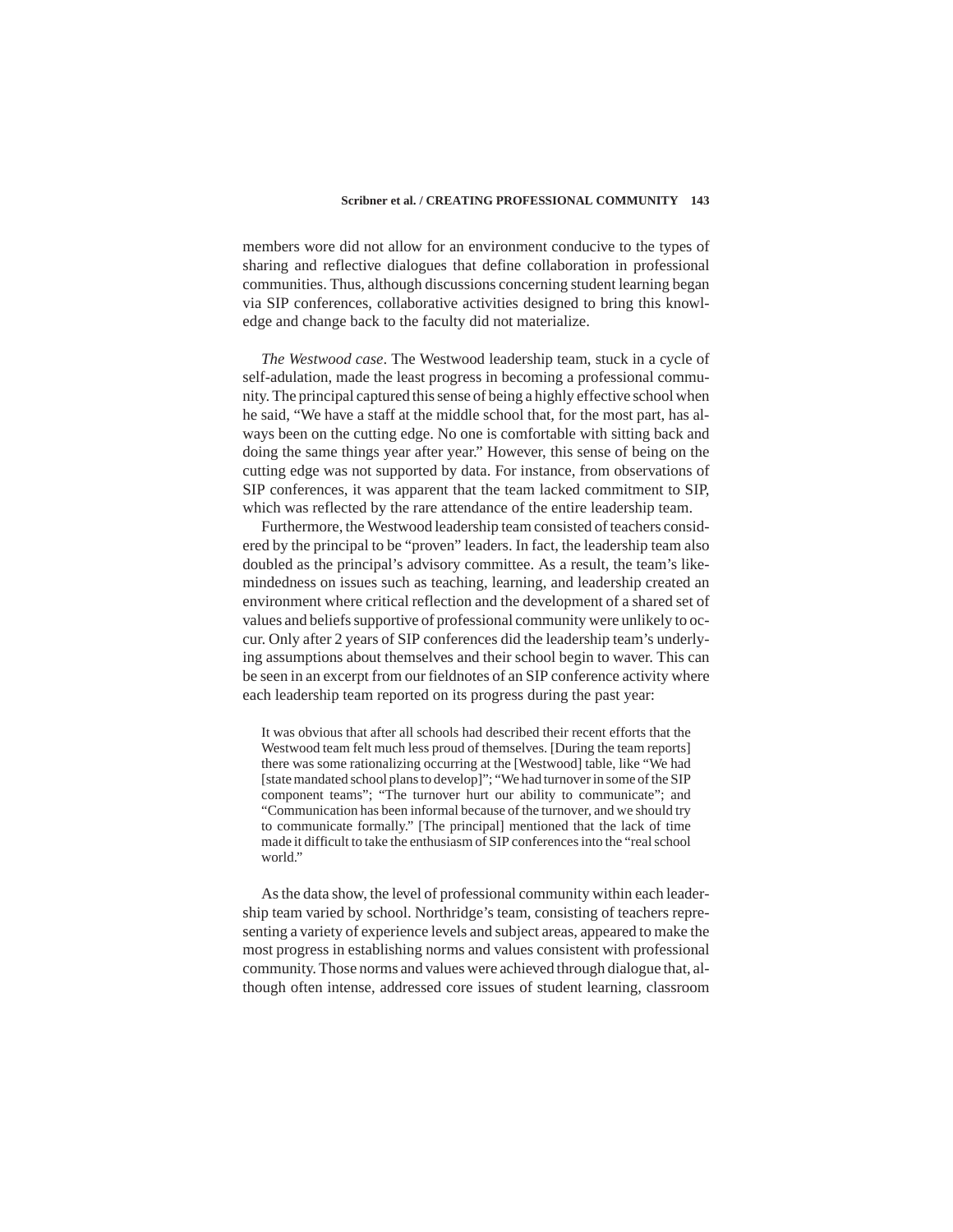members wore did not allow for an environment conducive to the types of sharing and reflective dialogues that define collaboration in professional communities. Thus, although discussions concerning student learning began via SIP conferences, collaborative activities designed to bring this knowledge and change back to the faculty did not materialize.

*The Westwood case*. The Westwood leadership team, stuck in a cycle of self-adulation, made the least progress in becoming a professional community. The principal captured this sense of being a highly effective school when he said, "We have a staff at the middle school that, for the most part, has always been on the cutting edge. No one is comfortable with sitting back and doing the same things year after year." However, this sense of being on the cutting edge was not supported by data. For instance, from observations of SIP conferences, it was apparent that the team lacked commitment to SIP, which was reflected by the rare attendance of the entire leadership team.

Furthermore, the Westwood leadership team consisted of teachers considered by the principal to be "proven" leaders. In fact, the leadership team also doubled as the principal's advisory committee. As a result, the team's likemindedness on issues such as teaching, learning, and leadership created an environment where critical reflection and the development of a shared set of values and beliefs supportive of professional community were unlikely to occur. Only after 2 years of SIP conferences did the leadership team's underlying assumptions about themselves and their school begin to waver. This can be seen in an excerpt from our fieldnotes of an SIP conference activity where each leadership team reported on its progress during the past year:

It was obvious that after all schools had described their recent efforts that the Westwood team felt much less proud of themselves. [During the team reports] there was some rationalizing occurring at the [Westwood] table, like "We had [state mandated school plans to develop]"; "We had turnover in some of the SIP component teams"; "The turnover hurt our ability to communicate"; and "Communication has been informal because of the turnover, and we should try to communicate formally." [The principal] mentioned that the lack of time made it difficult to take the enthusiasm of SIP conferences into the "real school world."

As the data show, the level of professional community within each leadership team varied by school. Northridge's team, consisting of teachers representing a variety of experience levels and subject areas, appeared to make the most progress in establishing norms and values consistent with professional community. Those norms and values were achieved through dialogue that, although often intense, addressed core issues of student learning, classroom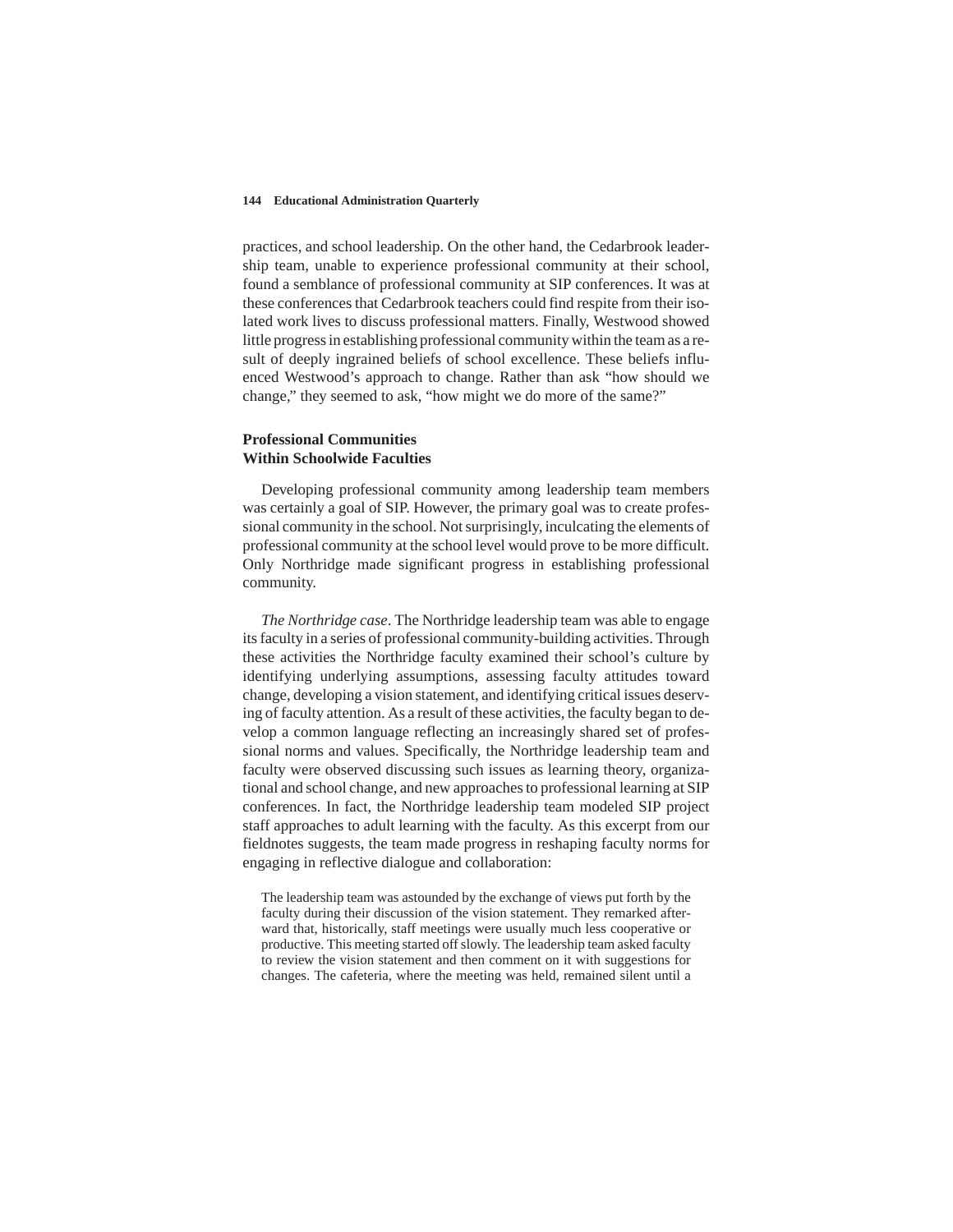practices, and school leadership. On the other hand, the Cedarbrook leadership team, unable to experience professional community at their school, found a semblance of professional community at SIP conferences. It was at these conferences that Cedarbrook teachers could find respite from their isolated work lives to discuss professional matters. Finally, Westwood showed little progress in establishing professional community within the team as a result of deeply ingrained beliefs of school excellence. These beliefs influenced Westwood's approach to change. Rather than ask "how should we change," they seemed to ask, "how might we do more of the same?"

# **Professional Communities Within Schoolwide Faculties**

Developing professional community among leadership team members was certainly a goal of SIP. However, the primary goal was to create professional community in the school. Not surprisingly, inculcating the elements of professional community at the school level would prove to be more difficult. Only Northridge made significant progress in establishing professional community.

*The Northridge case*. The Northridge leadership team was able to engage its faculty in a series of professional community-building activities. Through these activities the Northridge faculty examined their school's culture by identifying underlying assumptions, assessing faculty attitudes toward change, developing a vision statement, and identifying critical issues deserving of faculty attention. As a result of these activities, the faculty began to develop a common language reflecting an increasingly shared set of professional norms and values. Specifically, the Northridge leadership team and faculty were observed discussing such issues as learning theory, organizational and school change, and new approaches to professional learning at SIP conferences. In fact, the Northridge leadership team modeled SIP project staff approaches to adult learning with the faculty. As this excerpt from our fieldnotes suggests, the team made progress in reshaping faculty norms for engaging in reflective dialogue and collaboration:

The leadership team was astounded by the exchange of views put forth by the faculty during their discussion of the vision statement. They remarked afterward that, historically, staff meetings were usually much less cooperative or productive. This meeting started off slowly. The leadership team asked faculty to review the vision statement and then comment on it with suggestions for changes. The cafeteria, where the meeting was held, remained silent until a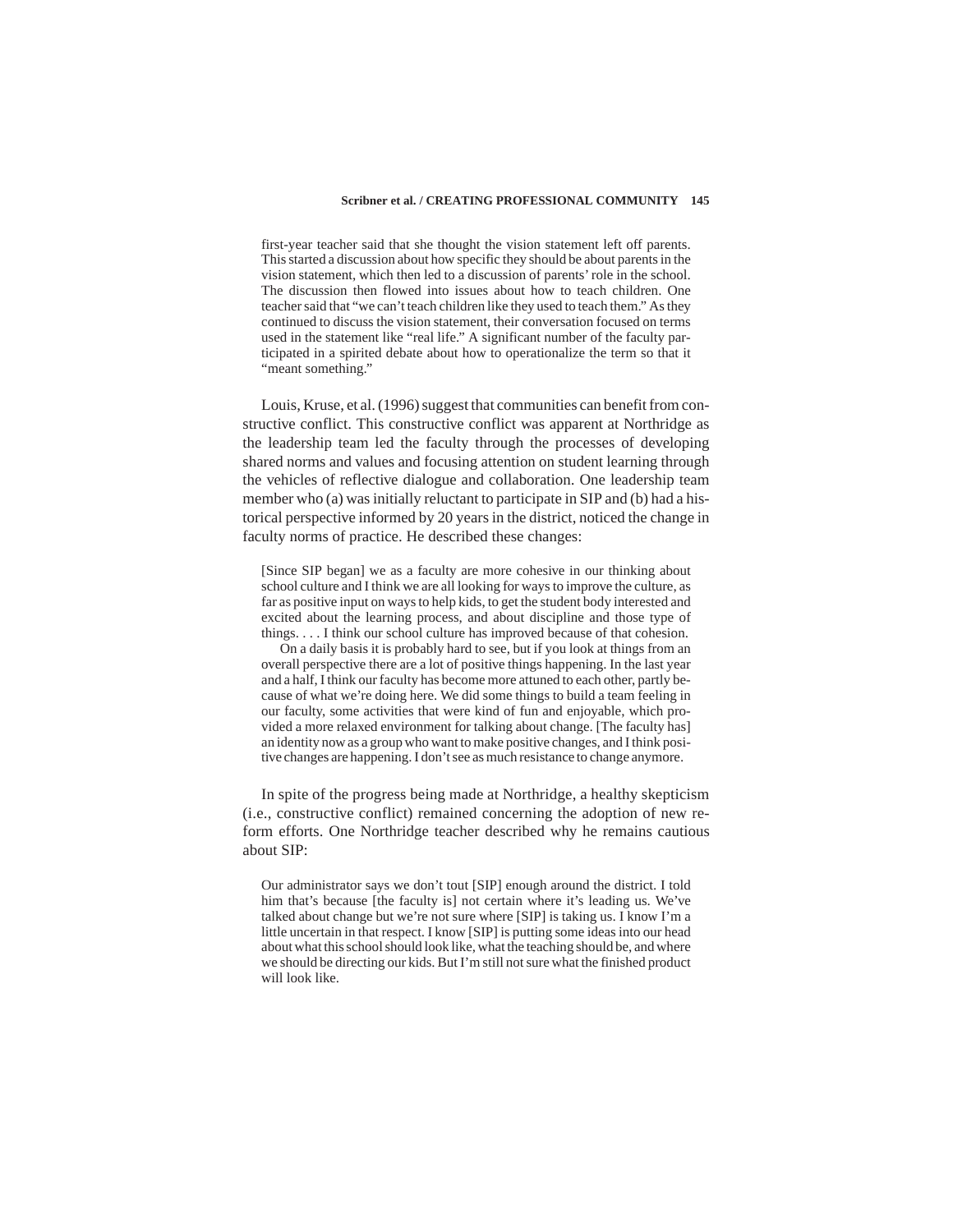first-year teacher said that she thought the vision statement left off parents. This started a discussion about how specific they should be about parents in the vision statement, which then led to a discussion of parents' role in the school. The discussion then flowed into issues about how to teach children. One teacher said that "we can't teach children like they used to teach them." As they continued to discuss the vision statement, their conversation focused on terms used in the statement like "real life." A significant number of the faculty participated in a spirited debate about how to operationalize the term so that it "meant something."

Louis, Kruse, et al. (1996) suggest that communities can benefit from constructive conflict. This constructive conflict was apparent at Northridge as the leadership team led the faculty through the processes of developing shared norms and values and focusing attention on student learning through the vehicles of reflective dialogue and collaboration. One leadership team member who (a) was initially reluctant to participate in SIP and (b) had a historical perspective informed by 20 years in the district, noticed the change in faculty norms of practice. He described these changes:

[Since SIP began] we as a faculty are more cohesive in our thinking about school culture and I think we are all looking for ways to improve the culture, as far as positive input on ways to help kids, to get the student body interested and excited about the learning process, and about discipline and those type of things....I think our school culture has improved because of that cohesion.

On a daily basis it is probably hard to see, but if you look at things from an overall perspective there are a lot of positive things happening. In the last year and a half, I think our faculty has become more attuned to each other, partly because of what we're doing here. We did some things to build a team feeling in our faculty, some activities that were kind of fun and enjoyable, which provided a more relaxed environment for talking about change. [The faculty has] an identity now as a group who want to make positive changes, and I think positive changes are happening. I don't see as much resistance to change anymore.

In spite of the progress being made at Northridge, a healthy skepticism (i.e., constructive conflict) remained concerning the adoption of new reform efforts. One Northridge teacher described why he remains cautious about SIP:

Our administrator says we don't tout [SIP] enough around the district. I told him that's because [the faculty is] not certain where it's leading us. We've talked about change but we're not sure where [SIP] is taking us. I know I'm a little uncertain in that respect. I know [SIP] is putting some ideas into our head about what this school should look like, what the teaching should be, and where we should be directing our kids. But I'm still not sure what the finished product will look like.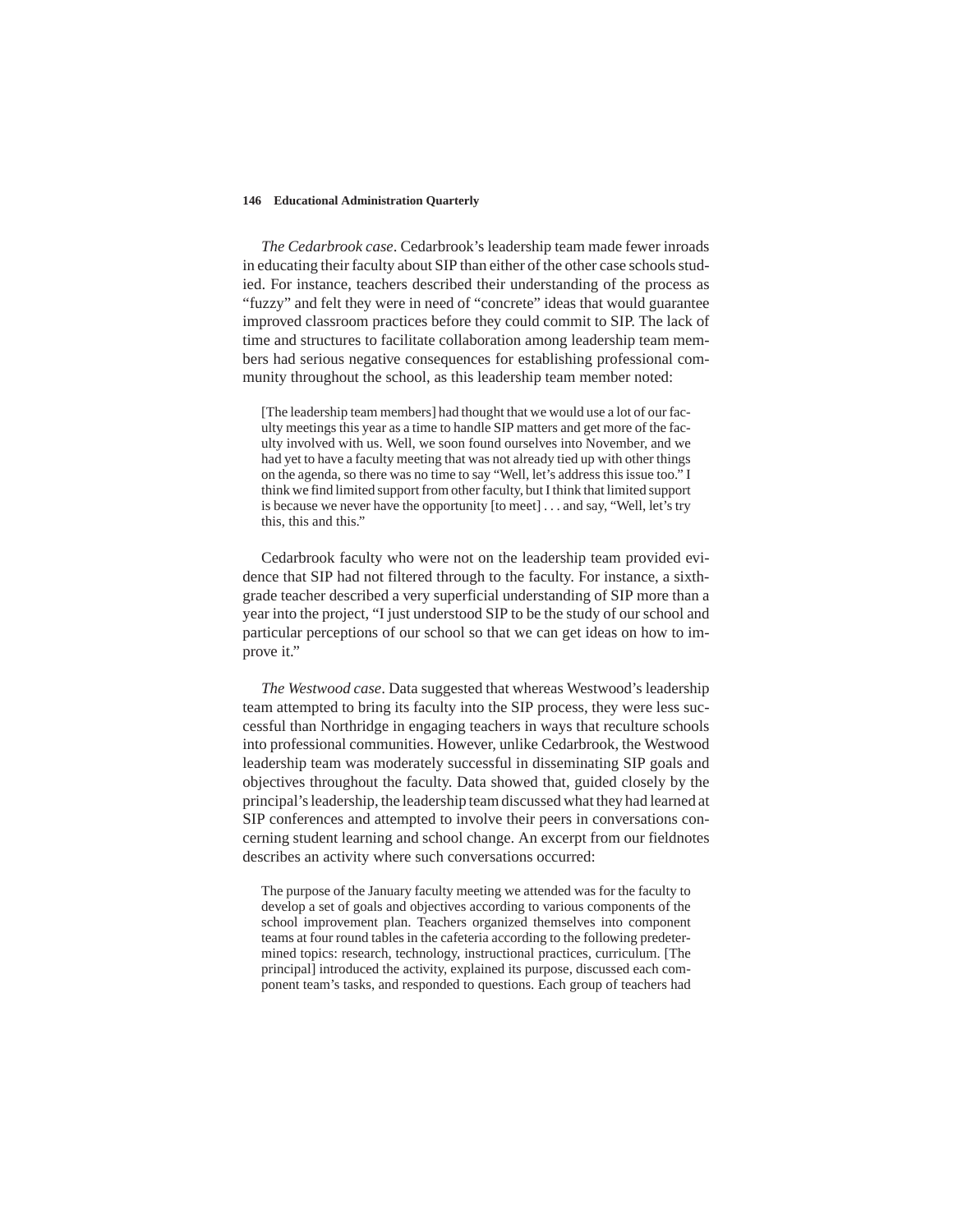*The Cedarbrook case*. Cedarbrook's leadership team made fewer inroads in educating their faculty about SIP than either of the other case schools studied. For instance, teachers described their understanding of the process as "fuzzy" and felt they were in need of "concrete" ideas that would guarantee improved classroom practices before they could commit to SIP. The lack of time and structures to facilitate collaboration among leadership team members had serious negative consequences for establishing professional community throughout the school, as this leadership team member noted:

[The leadership team members] had thought that we would use a lot of our faculty meetings this year as a time to handle SIP matters and get more of the faculty involved with us. Well, we soon found ourselves into November, and we had yet to have a faculty meeting that was not already tied up with other things on the agenda, so there was no time to say "Well, let's address this issue too." I think we find limited support from other faculty, but I think that limited support is because we never have the opportunity [to meet] . . . and say, "Well, let's try this, this and this."

Cedarbrook faculty who were not on the leadership team provided evidence that SIP had not filtered through to the faculty. For instance, a sixthgrade teacher described a very superficial understanding of SIP more than a year into the project, "I just understood SIP to be the study of our school and particular perceptions of our school so that we can get ideas on how to improve it."

*The Westwood case*. Data suggested that whereas Westwood's leadership team attempted to bring its faculty into the SIP process, they were less successful than Northridge in engaging teachers in ways that reculture schools into professional communities. However, unlike Cedarbrook, the Westwood leadership team was moderately successful in disseminating SIP goals and objectives throughout the faculty. Data showed that, guided closely by the principal's leadership, the leadership team discussed what they had learned at SIP conferences and attempted to involve their peers in conversations concerning student learning and school change. An excerpt from our fieldnotes describes an activity where such conversations occurred:

The purpose of the January faculty meeting we attended was for the faculty to develop a set of goals and objectives according to various components of the school improvement plan. Teachers organized themselves into component teams at four round tables in the cafeteria according to the following predetermined topics: research, technology, instructional practices, curriculum. [The principal] introduced the activity, explained its purpose, discussed each component team's tasks, and responded to questions. Each group of teachers had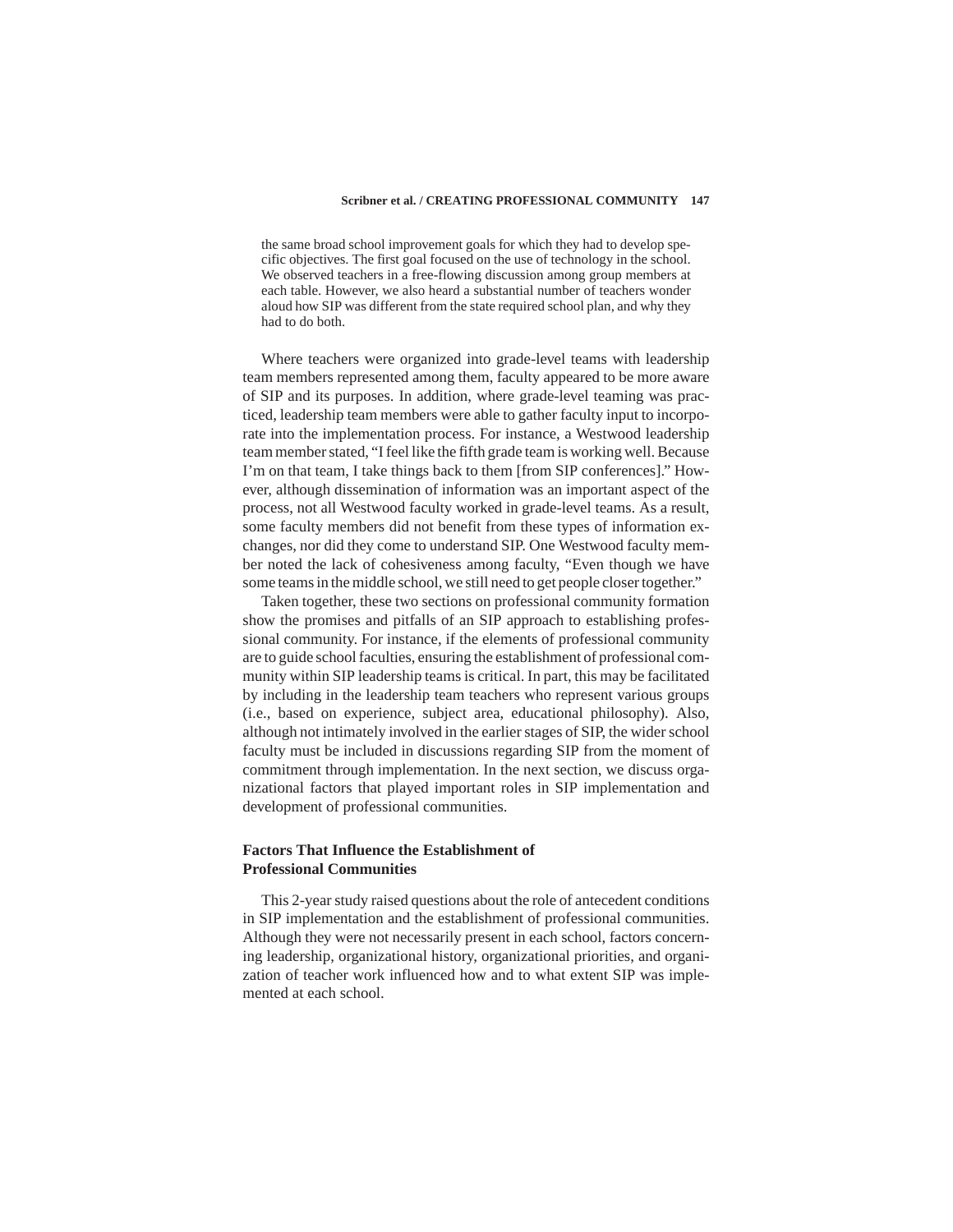the same broad school improvement goals for which they had to develop specific objectives. The first goal focused on the use of technology in the school. We observed teachers in a free-flowing discussion among group members at each table. However, we also heard a substantial number of teachers wonder aloud how SIP was different from the state required school plan, and why they had to do both.

Where teachers were organized into grade-level teams with leadership team members represented among them, faculty appeared to be more aware of SIP and its purposes. In addition, where grade-level teaming was practiced, leadership team members were able to gather faculty input to incorporate into the implementation process. For instance, a Westwood leadership team member stated, "I feel like the fifth grade team is working well. Because I'm on that team, I take things back to them [from SIP conferences]." However, although dissemination of information was an important aspect of the process, not all Westwood faculty worked in grade-level teams. As a result, some faculty members did not benefit from these types of information exchanges, nor did they come to understand SIP. One Westwood faculty member noted the lack of cohesiveness among faculty, "Even though we have some teams in the middle school, we still need to get people closer together."

Taken together, these two sections on professional community formation show the promises and pitfalls of an SIP approach to establishing professional community. For instance, if the elements of professional community are to guide school faculties, ensuring the establishment of professional community within SIP leadership teams is critical. In part, this may be facilitated by including in the leadership team teachers who represent various groups (i.e., based on experience, subject area, educational philosophy). Also, although not intimately involved in the earlier stages of SIP, the wider school faculty must be included in discussions regarding SIP from the moment of commitment through implementation. In the next section, we discuss organizational factors that played important roles in SIP implementation and development of professional communities.

# **Factors That Influence the Establishment of Professional Communities**

This 2-year study raised questions about the role of antecedent conditions in SIP implementation and the establishment of professional communities. Although they were not necessarily present in each school, factors concerning leadership, organizational history, organizational priorities, and organization of teacher work influenced how and to what extent SIP was implemented at each school.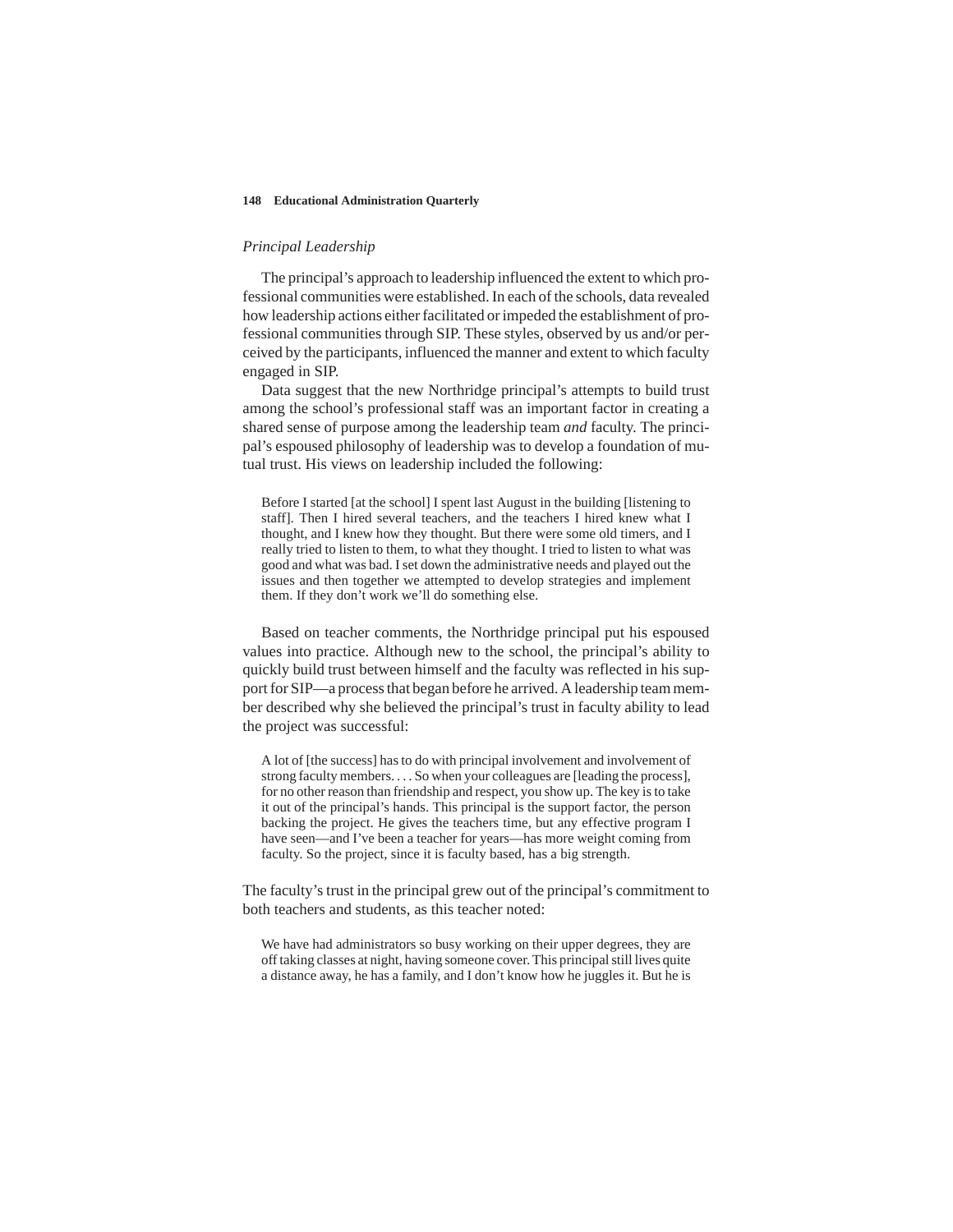# *Principal Leadership*

The principal's approach to leadership influenced the extent to which professional communities were established. In each of the schools, data revealed how leadership actions either facilitated or impeded the establishment of professional communities through SIP. These styles, observed by us and/or perceived by the participants, influenced the manner and extent to which faculty engaged in SIP.

Data suggest that the new Northridge principal's attempts to build trust among the school's professional staff was an important factor in creating a shared sense of purpose among the leadership team *and* faculty. The principal's espoused philosophy of leadership was to develop a foundation of mutual trust. His views on leadership included the following:

Before I started [at the school] I spent last August in the building [listening to staff]. Then I hired several teachers, and the teachers I hired knew what I thought, and I knew how they thought. But there were some old timers, and I really tried to listen to them, to what they thought. I tried to listen to what was good and what was bad. I set down the administrative needs and played out the issues and then together we attempted to develop strategies and implement them. If they don't work we'll do something else.

Based on teacher comments, the Northridge principal put his espoused values into practice. Although new to the school, the principal's ability to quickly build trust between himself and the faculty was reflected in his support for SIP—a process that began before he arrived. A leadership team member described why she believed the principal's trust in faculty ability to lead the project was successful:

A lot of [the success] has to do with principal involvement and involvement of strong faculty members. . . . So when your colleagues are [leading the process], for no other reason than friendship and respect, you show up. The key is to take it out of the principal's hands. This principal is the support factor, the person backing the project. He gives the teachers time, but any effective program I have seen—and I've been a teacher for years—has more weight coming from faculty. So the project, since it is faculty based, has a big strength.

The faculty's trust in the principal grew out of the principal's commitment to both teachers and students, as this teacher noted:

We have had administrators so busy working on their upper degrees, they are off taking classes at night, having someone cover. This principal still lives quite a distance away, he has a family, and I don't know how he juggles it. But he is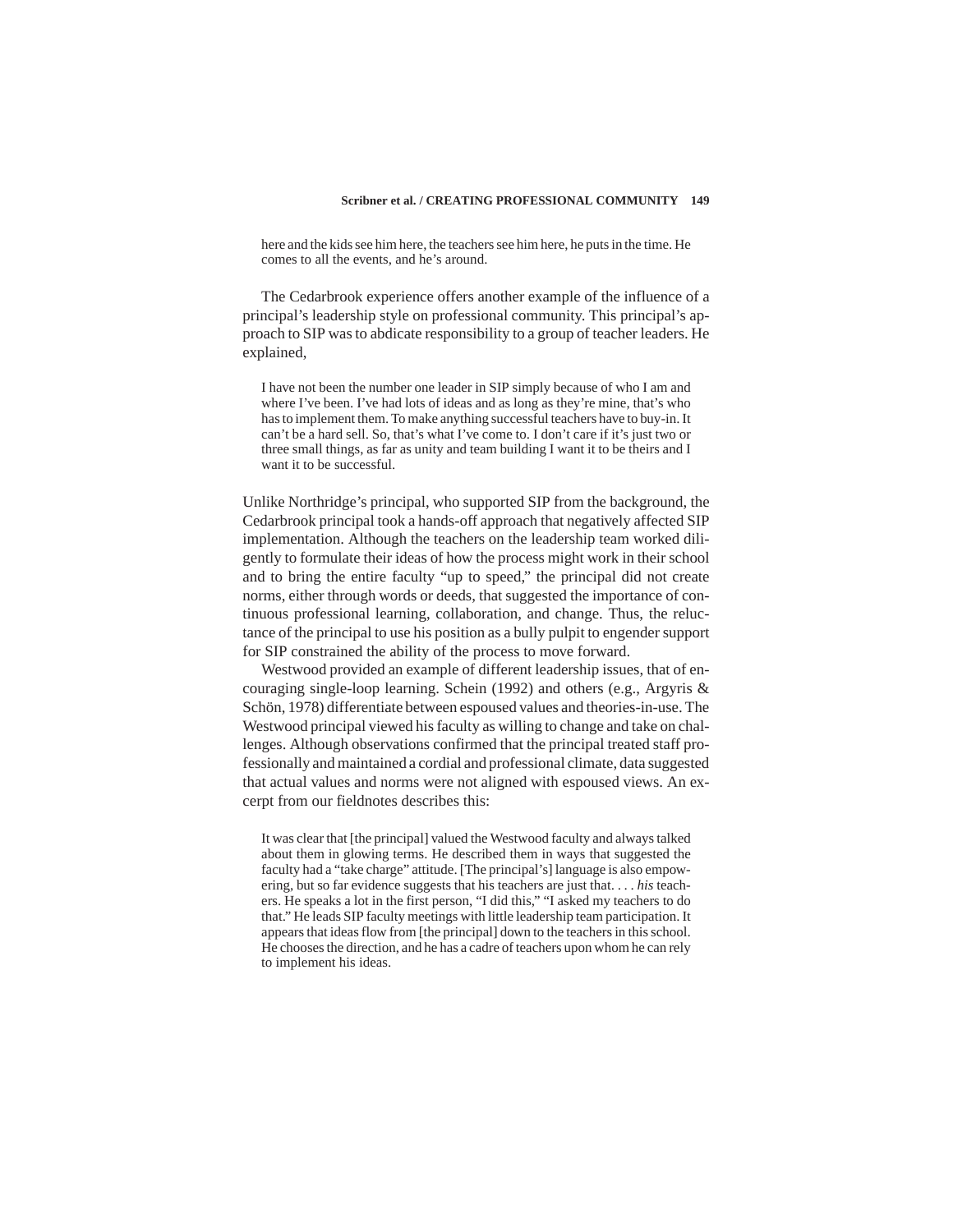here and the kids see him here, the teachers see him here, he puts in the time. He comes to all the events, and he's around.

The Cedarbrook experience offers another example of the influence of a principal's leadership style on professional community. This principal's approach to SIP was to abdicate responsibility to a group of teacher leaders. He explained,

I have not been the number one leader in SIP simply because of who I am and where I've been. I've had lots of ideas and as long as they're mine, that's who has to implement them. To make anything successful teachers have to buy-in. It can't be a hard sell. So, that's what I've come to. I don't care if it's just two or three small things, as far as unity and team building I want it to be theirs and I want it to be successful.

Unlike Northridge's principal, who supported SIP from the background, the Cedarbrook principal took a hands-off approach that negatively affected SIP implementation. Although the teachers on the leadership team worked diligently to formulate their ideas of how the process might work in their school and to bring the entire faculty "up to speed," the principal did not create norms, either through words or deeds, that suggested the importance of continuous professional learning, collaboration, and change. Thus, the reluctance of the principal to use his position as a bully pulpit to engender support for SIP constrained the ability of the process to move forward.

Westwood provided an example of different leadership issues, that of encouraging single-loop learning. Schein (1992) and others (e.g., Argyris & Schön, 1978) differentiate between espoused values and theories-in-use. The Westwood principal viewed his faculty as willing to change and take on challenges. Although observations confirmed that the principal treated staff professionally and maintained a cordial and professional climate, data suggested that actual values and norms were not aligned with espoused views. An excerpt from our fieldnotes describes this:

It was clear that [the principal] valued the Westwood faculty and always talked about them in glowing terms. He described them in ways that suggested the faculty had a "take charge" attitude. [The principal's] language is also empowering, but so far evidence suggests that his teachers are just that.... *his* teachers. He speaks a lot in the first person, "I did this," "I asked my teachers to do that." He leads SIP faculty meetings with little leadership team participation. It appears that ideas flow from [the principal] down to the teachers in this school. He chooses the direction, and he has a cadre of teachers upon whom he can rely to implement his ideas.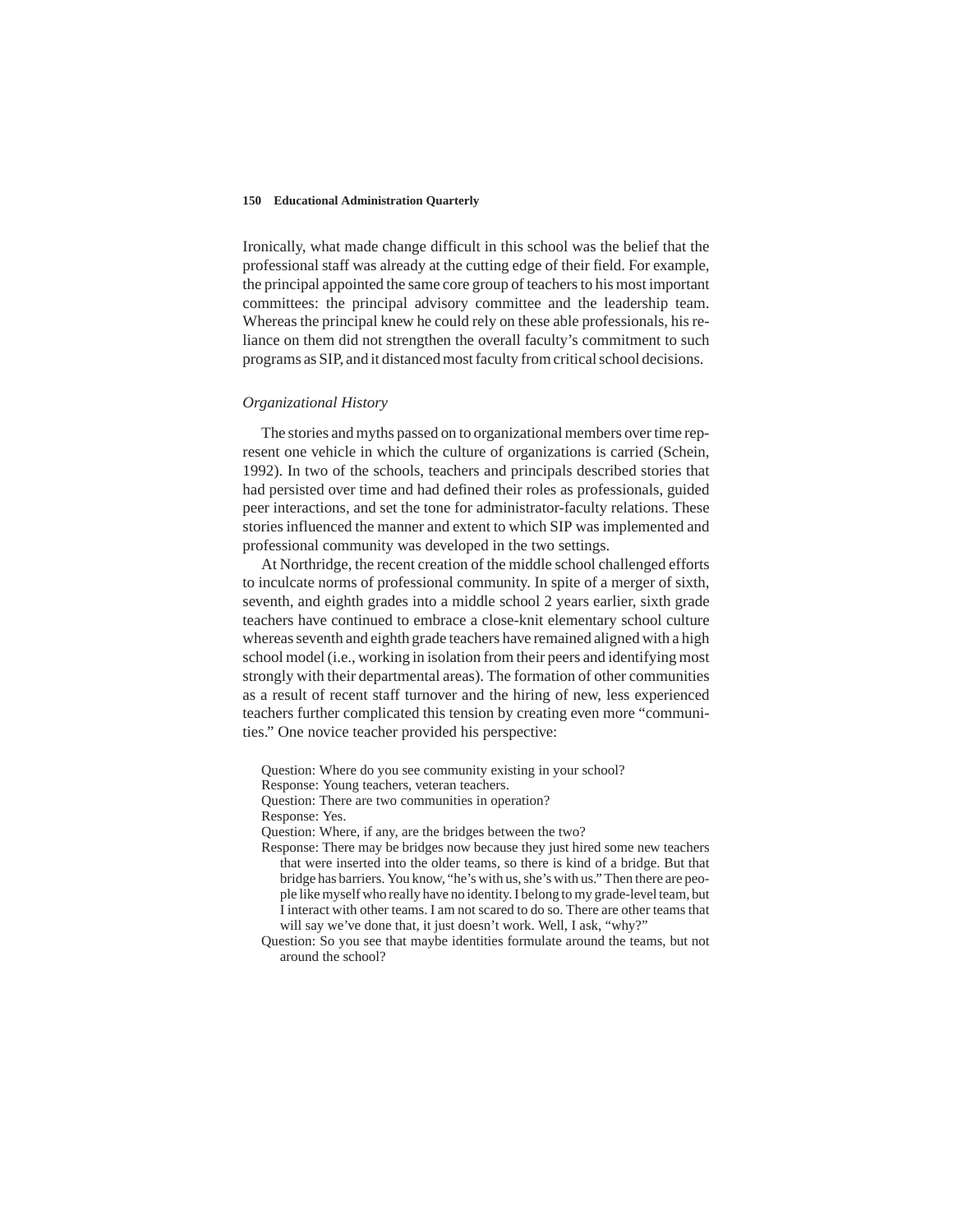Ironically, what made change difficult in this school was the belief that the professional staff was already at the cutting edge of their field. For example, the principal appointed the same core group of teachers to his most important committees: the principal advisory committee and the leadership team. Whereas the principal knew he could rely on these able professionals, his reliance on them did not strengthen the overall faculty's commitment to such programs as SIP, and it distanced most faculty from critical school decisions.

# *Organizational History*

The stories and myths passed on to organizational members over time represent one vehicle in which the culture of organizations is carried (Schein, 1992). In two of the schools, teachers and principals described stories that had persisted over time and had defined their roles as professionals, guided peer interactions, and set the tone for administrator-faculty relations. These stories influenced the manner and extent to which SIP was implemented and professional community was developed in the two settings.

At Northridge, the recent creation of the middle school challenged efforts to inculcate norms of professional community. In spite of a merger of sixth, seventh, and eighth grades into a middle school 2 years earlier, sixth grade teachers have continued to embrace a close-knit elementary school culture whereas seventh and eighth grade teachers have remained aligned with a high school model (i.e., working in isolation from their peers and identifying most strongly with their departmental areas). The formation of other communities as a result of recent staff turnover and the hiring of new, less experienced teachers further complicated this tension by creating even more "communities." One novice teacher provided his perspective:

Question: Where do you see community existing in your school?

Response: Young teachers, veteran teachers.

Question: There are two communities in operation?

Response: Yes.

Question: Where, if any, are the bridges between the two?

- Response: There may be bridges now because they just hired some new teachers that were inserted into the older teams, so there is kind of a bridge. But that bridge has barriers. You know, "he's with us, she's with us." Then there are people like myself who really have no identity. I belong to my grade-level team, but I interact with other teams. I am not scared to do so. There are other teams that will say we've done that, it just doesn't work. Well, I ask, "why?"
- Question: So you see that maybe identities formulate around the teams, but not around the school?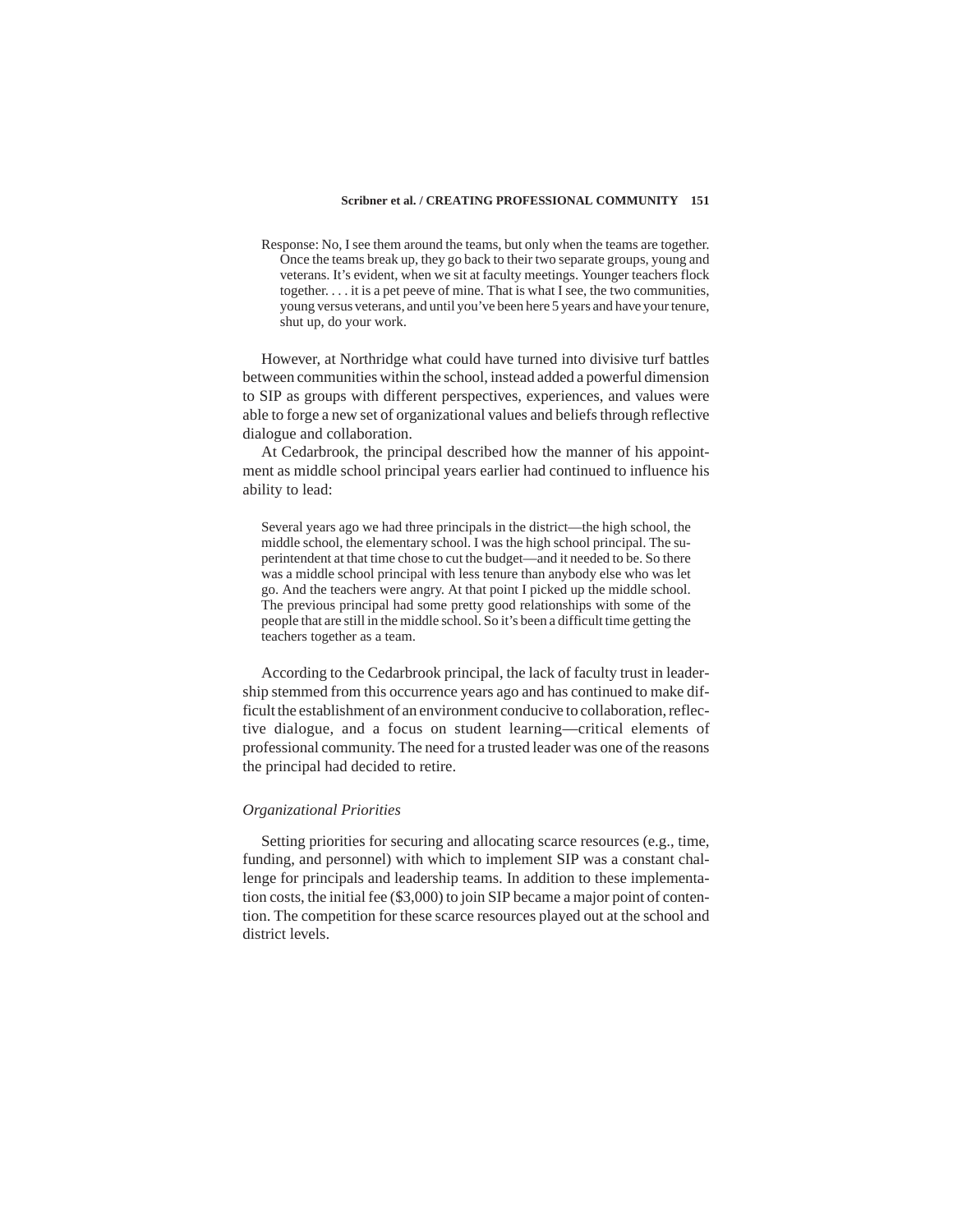Response: No, I see them around the teams, but only when the teams are together. Once the teams break up, they go back to their two separate groups, young and veterans. It's evident, when we sit at faculty meetings. Younger teachers flock together. . . . it is a pet peeve of mine. That is what I see, the two communities, young versus veterans, and until you've been here 5 years and have your tenure, shut up, do your work.

However, at Northridge what could have turned into divisive turf battles between communities within the school, instead added a powerful dimension to SIP as groups with different perspectives, experiences, and values were able to forge a new set of organizational values and beliefs through reflective dialogue and collaboration.

At Cedarbrook, the principal described how the manner of his appointment as middle school principal years earlier had continued to influence his ability to lead:

Several years ago we had three principals in the district—the high school, the middle school, the elementary school. I was the high school principal. The superintendent at that time chose to cut the budget—and it needed to be. So there was a middle school principal with less tenure than anybody else who was let go. And the teachers were angry. At that point I picked up the middle school. The previous principal had some pretty good relationships with some of the people that are still in the middle school. So it's been a difficult time getting the teachers together as a team.

According to the Cedarbrook principal, the lack of faculty trust in leadership stemmed from this occurrence years ago and has continued to make difficult the establishment of an environment conducive to collaboration, reflective dialogue, and a focus on student learning—critical elements of professional community. The need for a trusted leader was one of the reasons the principal had decided to retire.

# *Organizational Priorities*

Setting priorities for securing and allocating scarce resources (e.g., time, funding, and personnel) with which to implement SIP was a constant challenge for principals and leadership teams. In addition to these implementation costs, the initial fee (\$3,000) to join SIP became a major point of contention. The competition for these scarce resources played out at the school and district levels.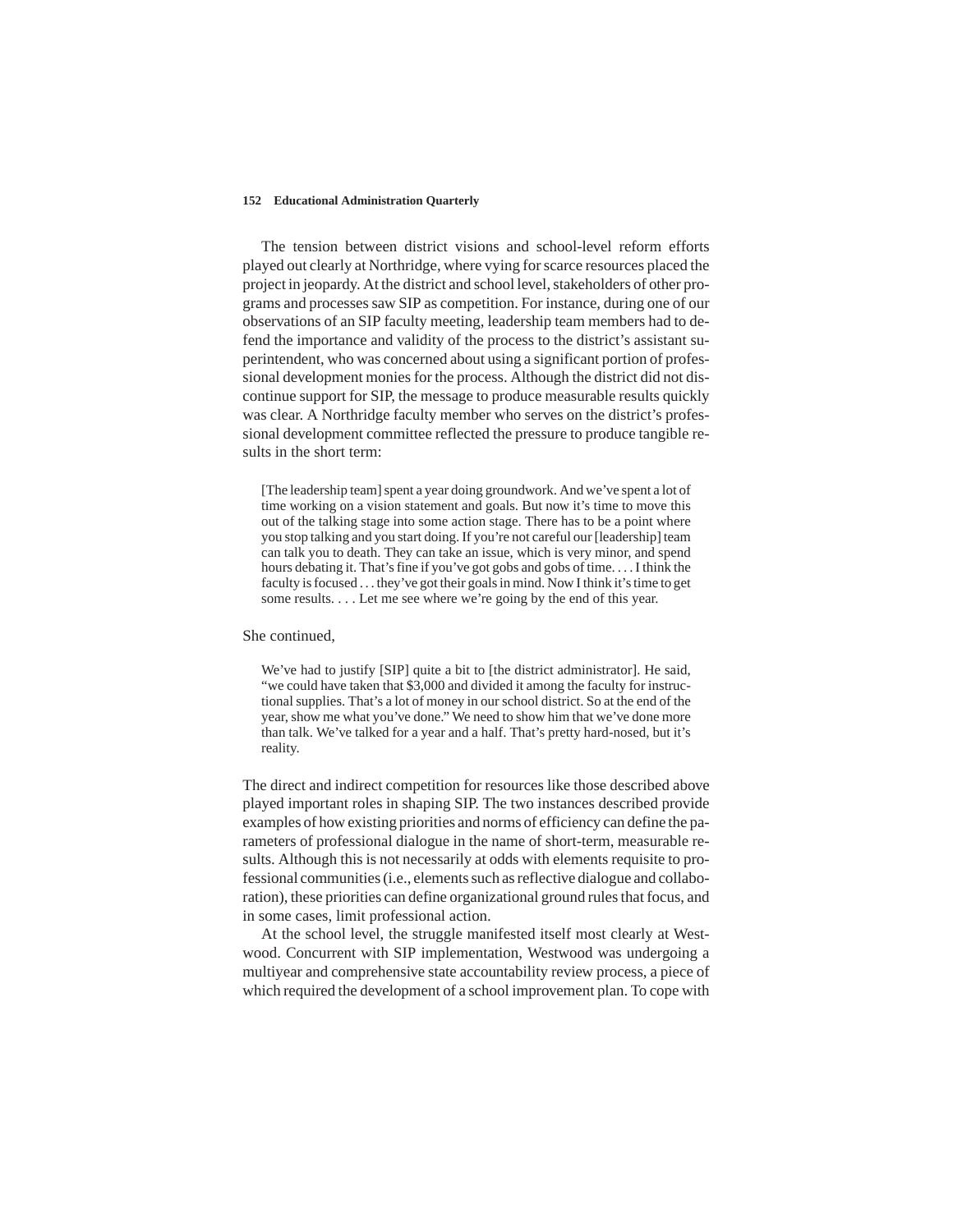The tension between district visions and school-level reform efforts played out clearly at Northridge, where vying for scarce resources placed the project in jeopardy. At the district and school level, stakeholders of other programs and processes saw SIP as competition. For instance, during one of our observations of an SIP faculty meeting, leadership team members had to defend the importance and validity of the process to the district's assistant superintendent, who was concerned about using a significant portion of professional development monies for the process. Although the district did not discontinue support for SIP, the message to produce measurable results quickly was clear. A Northridge faculty member who serves on the district's professional development committee reflected the pressure to produce tangible results in the short term:

[The leadership team] spent a year doing groundwork. And we've spent a lot of time working on a vision statement and goals. But now it's time to move this out of the talking stage into some action stage. There has to be a point where you stop talking and you start doing. If you're not careful our [leadership] team can talk you to death. They can take an issue, which is very minor, and spend hours debating it. That's fine if you've got gobs and gobs of time....I think the faculty is focused . . . they've got their goals in mind. Now I think it's time to get some results. . . . Let me see where we're going by the end of this year.

#### She continued,

We've had to justify [SIP] quite a bit to [the district administrator]. He said, "we could have taken that \$3,000 and divided it among the faculty for instructional supplies. That's a lot of money in our school district. So at the end of the year, show me what you've done." We need to show him that we've done more than talk. We've talked for a year and a half. That's pretty hard-nosed, but it's reality.

The direct and indirect competition for resources like those described above played important roles in shaping SIP. The two instances described provide examples of how existing priorities and norms of efficiency can define the parameters of professional dialogue in the name of short-term, measurable results. Although this is not necessarily at odds with elements requisite to professional communities (i.e., elements such as reflective dialogue and collaboration), these priorities can define organizational ground rules that focus, and in some cases, limit professional action.

At the school level, the struggle manifested itself most clearly at Westwood. Concurrent with SIP implementation, Westwood was undergoing a multiyear and comprehensive state accountability review process, a piece of which required the development of a school improvement plan. To cope with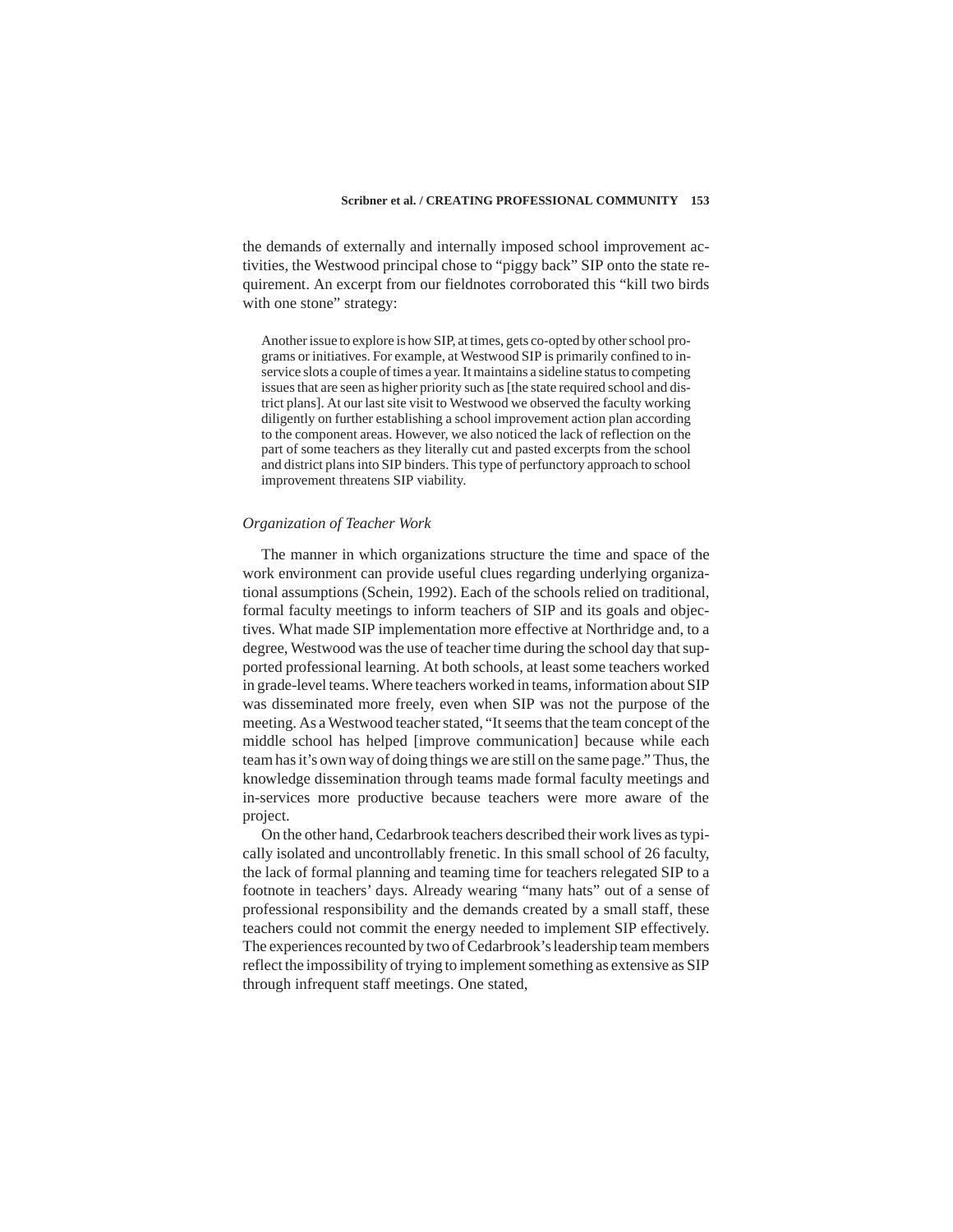the demands of externally and internally imposed school improvement activities, the Westwood principal chose to "piggy back" SIP onto the state requirement. An excerpt from our fieldnotes corroborated this "kill two birds with one stone" strategy:

Another issue to explore is how SIP, at times, gets co-opted by other school programs or initiatives. For example, at Westwood SIP is primarily confined to inservice slots a couple of times a year. It maintains a sideline status to competing issues that are seen as higher priority such as [the state required school and district plans]. At our last site visit to Westwood we observed the faculty working diligently on further establishing a school improvement action plan according to the component areas. However, we also noticed the lack of reflection on the part of some teachers as they literally cut and pasted excerpts from the school and district plans into SIP binders. This type of perfunctory approach to school improvement threatens SIP viability.

### *Organization of Teacher Work*

The manner in which organizations structure the time and space of the work environment can provide useful clues regarding underlying organizational assumptions (Schein, 1992). Each of the schools relied on traditional, formal faculty meetings to inform teachers of SIP and its goals and objectives. What made SIP implementation more effective at Northridge and, to a degree, Westwood was the use of teacher time during the school day that supported professional learning. At both schools, at least some teachers worked in grade-level teams. Where teachers worked in teams, information about SIP was disseminated more freely, even when SIP was not the purpose of the meeting. As a Westwood teacher stated, "It seems that the team concept of the middle school has helped [improve communication] because while each team has it's own way of doing things we are still on the same page." Thus, the knowledge dissemination through teams made formal faculty meetings and in-services more productive because teachers were more aware of the project.

On the other hand, Cedarbrook teachers described their work lives as typically isolated and uncontrollably frenetic. In this small school of 26 faculty, the lack of formal planning and teaming time for teachers relegated SIP to a footnote in teachers' days. Already wearing "many hats" out of a sense of professional responsibility and the demands created by a small staff, these teachers could not commit the energy needed to implement SIP effectively. The experiences recounted by two of Cedarbrook's leadership team members reflect the impossibility of trying to implement something as extensive as SIP through infrequent staff meetings. One stated,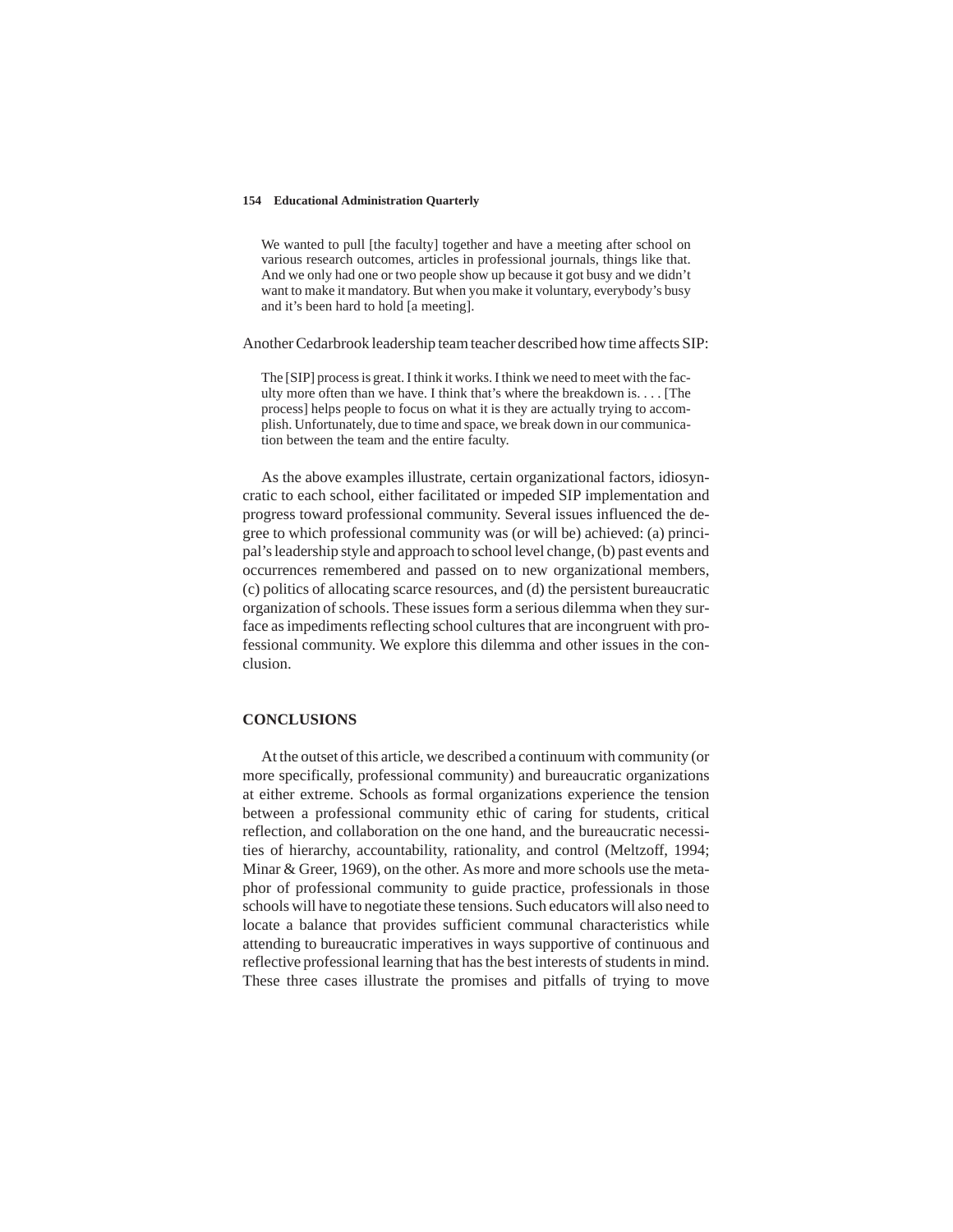We wanted to pull [the faculty] together and have a meeting after school on various research outcomes, articles in professional journals, things like that. And we only had one or two people show up because it got busy and we didn't want to make it mandatory. But when you make it voluntary, everybody's busy and it's been hard to hold [a meeting].

Another Cedarbrook leadership team teacher described how time affects SIP:

The [SIP] process is great. I think it works. I think we need to meet with the faculty more often than we have. I think that's where the breakdown is.... [The process] helps people to focus on what it is they are actually trying to accomplish. Unfortunately, due to time and space, we break down in our communication between the team and the entire faculty.

As the above examples illustrate, certain organizational factors, idiosyncratic to each school, either facilitated or impeded SIP implementation and progress toward professional community. Several issues influenced the degree to which professional community was (or will be) achieved: (a) principal's leadership style and approach to school level change, (b) past events and occurrences remembered and passed on to new organizational members, (c) politics of allocating scarce resources, and (d) the persistent bureaucratic organization of schools. These issues form a serious dilemma when they surface as impediments reflecting school cultures that are incongruent with professional community. We explore this dilemma and other issues in the conclusion.

# **CONCLUSIONS**

At the outset of this article, we described a continuum with community (or more specifically, professional community) and bureaucratic organizations at either extreme. Schools as formal organizations experience the tension between a professional community ethic of caring for students, critical reflection, and collaboration on the one hand, and the bureaucratic necessities of hierarchy, accountability, rationality, and control (Meltzoff, 1994; Minar & Greer, 1969), on the other. As more and more schools use the metaphor of professional community to guide practice, professionals in those schools will have to negotiate these tensions. Such educators will also need to locate a balance that provides sufficient communal characteristics while attending to bureaucratic imperatives in ways supportive of continuous and reflective professional learning that has the best interests of students in mind. These three cases illustrate the promises and pitfalls of trying to move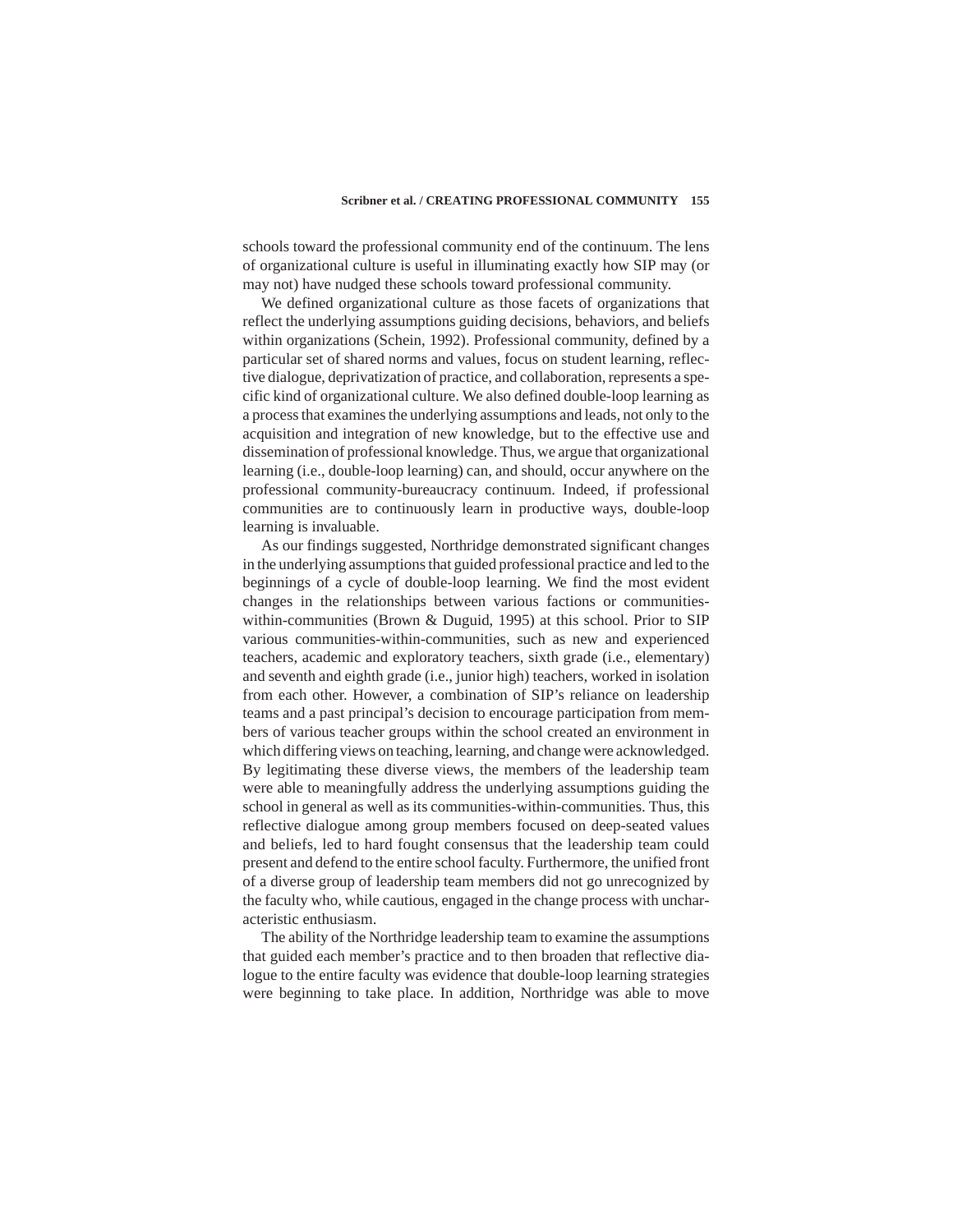schools toward the professional community end of the continuum. The lens of organizational culture is useful in illuminating exactly how SIP may (or may not) have nudged these schools toward professional community.

We defined organizational culture as those facets of organizations that reflect the underlying assumptions guiding decisions, behaviors, and beliefs within organizations (Schein, 1992). Professional community, defined by a particular set of shared norms and values, focus on student learning, reflective dialogue, deprivatization of practice, and collaboration, represents a specific kind of organizational culture. We also defined double-loop learning as a process that examines the underlying assumptions and leads, not only to the acquisition and integration of new knowledge, but to the effective use and dissemination of professional knowledge. Thus, we argue that organizational learning (i.e., double-loop learning) can, and should, occur anywhere on the professional community-bureaucracy continuum. Indeed, if professional communities are to continuously learn in productive ways, double-loop learning is invaluable.

As our findings suggested, Northridge demonstrated significant changes in the underlying assumptions that guided professional practice and led to the beginnings of a cycle of double-loop learning. We find the most evident changes in the relationships between various factions or communitieswithin-communities (Brown & Duguid, 1995) at this school. Prior to SIP various communities-within-communities, such as new and experienced teachers, academic and exploratory teachers, sixth grade (i.e., elementary) and seventh and eighth grade (i.e., junior high) teachers, worked in isolation from each other. However, a combination of SIP's reliance on leadership teams and a past principal's decision to encourage participation from members of various teacher groups within the school created an environment in which differing views on teaching, learning, and change were acknowledged. By legitimating these diverse views, the members of the leadership team were able to meaningfully address the underlying assumptions guiding the school in general as well as its communities-within-communities. Thus, this reflective dialogue among group members focused on deep-seated values and beliefs, led to hard fought consensus that the leadership team could present and defend to the entire school faculty. Furthermore, the unified front of a diverse group of leadership team members did not go unrecognized by the faculty who, while cautious, engaged in the change process with uncharacteristic enthusiasm.

The ability of the Northridge leadership team to examine the assumptions that guided each member's practice and to then broaden that reflective dialogue to the entire faculty was evidence that double-loop learning strategies were beginning to take place. In addition, Northridge was able to move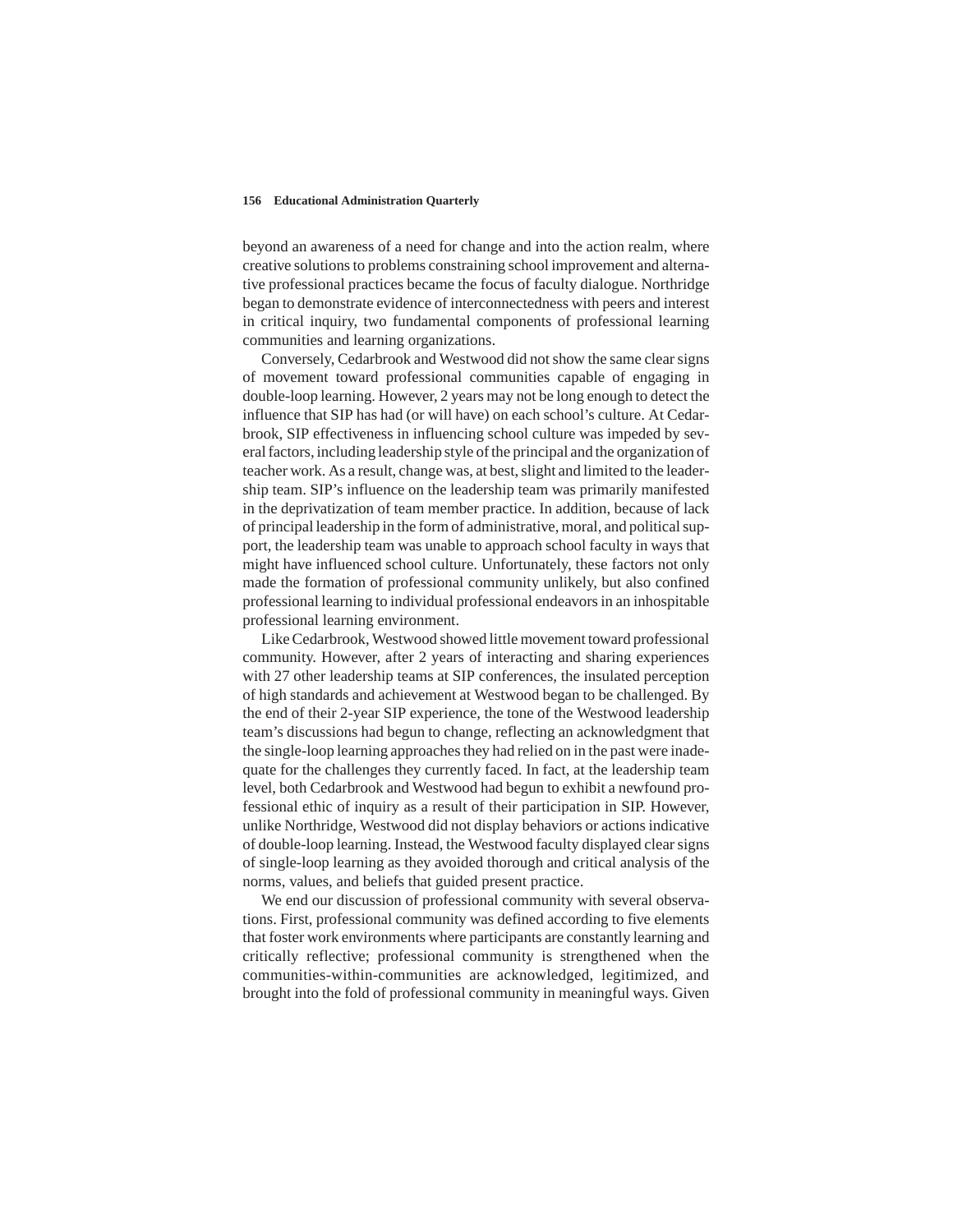beyond an awareness of a need for change and into the action realm, where creative solutions to problems constraining school improvement and alternative professional practices became the focus of faculty dialogue. Northridge began to demonstrate evidence of interconnectedness with peers and interest in critical inquiry, two fundamental components of professional learning communities and learning organizations.

Conversely, Cedarbrook and Westwood did not show the same clear signs of movement toward professional communities capable of engaging in double-loop learning. However, 2 years may not be long enough to detect the influence that SIP has had (or will have) on each school's culture. At Cedarbrook, SIP effectiveness in influencing school culture was impeded by several factors, including leadership style of the principal and the organization of teacher work. As a result, change was, at best, slight and limited to the leadership team. SIP's influence on the leadership team was primarily manifested in the deprivatization of team member practice. In addition, because of lack of principal leadership in the form of administrative, moral, and political support, the leadership team was unable to approach school faculty in ways that might have influenced school culture. Unfortunately, these factors not only made the formation of professional community unlikely, but also confined professional learning to individual professional endeavors in an inhospitable professional learning environment.

Like Cedarbrook, Westwood showed little movement toward professional community. However, after 2 years of interacting and sharing experiences with 27 other leadership teams at SIP conferences, the insulated perception of high standards and achievement at Westwood began to be challenged. By the end of their 2-year SIP experience, the tone of the Westwood leadership team's discussions had begun to change, reflecting an acknowledgment that the single-loop learning approaches they had relied on in the past were inadequate for the challenges they currently faced. In fact, at the leadership team level, both Cedarbrook and Westwood had begun to exhibit a newfound professional ethic of inquiry as a result of their participation in SIP. However, unlike Northridge, Westwood did not display behaviors or actions indicative of double-loop learning. Instead, the Westwood faculty displayed clear signs of single-loop learning as they avoided thorough and critical analysis of the norms, values, and beliefs that guided present practice.

We end our discussion of professional community with several observations. First, professional community was defined according to five elements that foster work environments where participants are constantly learning and critically reflective; professional community is strengthened when the communities-within-communities are acknowledged, legitimized, and brought into the fold of professional community in meaningful ways. Given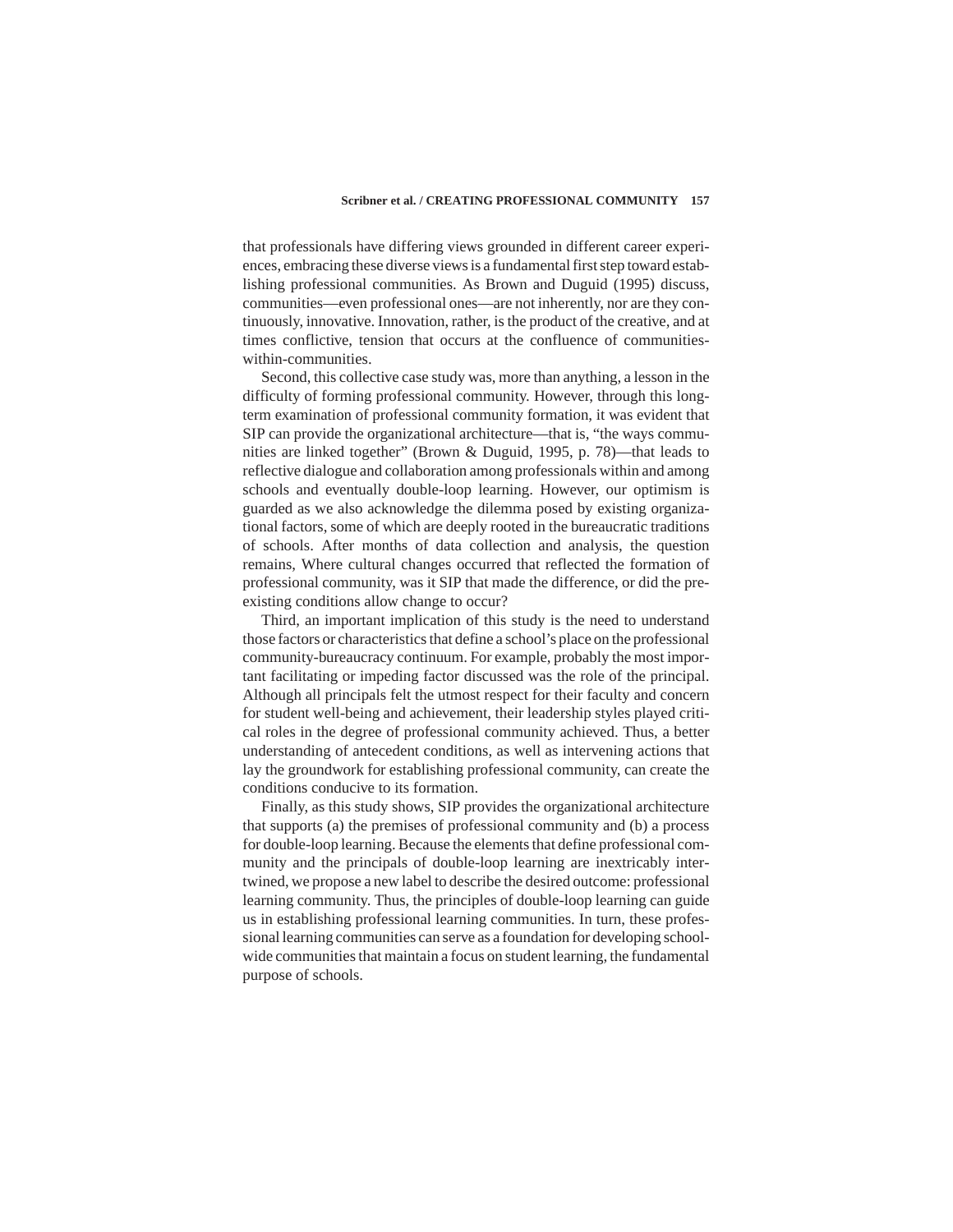that professionals have differing views grounded in different career experiences, embracing these diverse views is a fundamental first step toward establishing professional communities. As Brown and Duguid (1995) discuss, communities—even professional ones—are not inherently, nor are they continuously, innovative. Innovation, rather, is the product of the creative, and at times conflictive, tension that occurs at the confluence of communitieswithin-communities.

Second, this collective case study was, more than anything, a lesson in the difficulty of forming professional community. However, through this longterm examination of professional community formation, it was evident that SIP can provide the organizational architecture—that is, "the ways communities are linked together" (Brown & Duguid, 1995, p. 78)—that leads to reflective dialogue and collaboration among professionals within and among schools and eventually double-loop learning. However, our optimism is guarded as we also acknowledge the dilemma posed by existing organizational factors, some of which are deeply rooted in the bureaucratic traditions of schools. After months of data collection and analysis, the question remains, Where cultural changes occurred that reflected the formation of professional community, was it SIP that made the difference, or did the preexisting conditions allow change to occur?

Third, an important implication of this study is the need to understand those factors or characteristics that define a school's place on the professional community-bureaucracy continuum. For example, probably the most important facilitating or impeding factor discussed was the role of the principal. Although all principals felt the utmost respect for their faculty and concern for student well-being and achievement, their leadership styles played critical roles in the degree of professional community achieved. Thus, a better understanding of antecedent conditions, as well as intervening actions that lay the groundwork for establishing professional community, can create the conditions conducive to its formation.

Finally, as this study shows, SIP provides the organizational architecture that supports (a) the premises of professional community and (b) a process for double-loop learning. Because the elements that define professional community and the principals of double-loop learning are inextricably intertwined, we propose a new label to describe the desired outcome: professional learning community. Thus, the principles of double-loop learning can guide us in establishing professional learning communities. In turn, these professional learning communities can serve as a foundation for developing schoolwide communities that maintain a focus on student learning, the fundamental purpose of schools.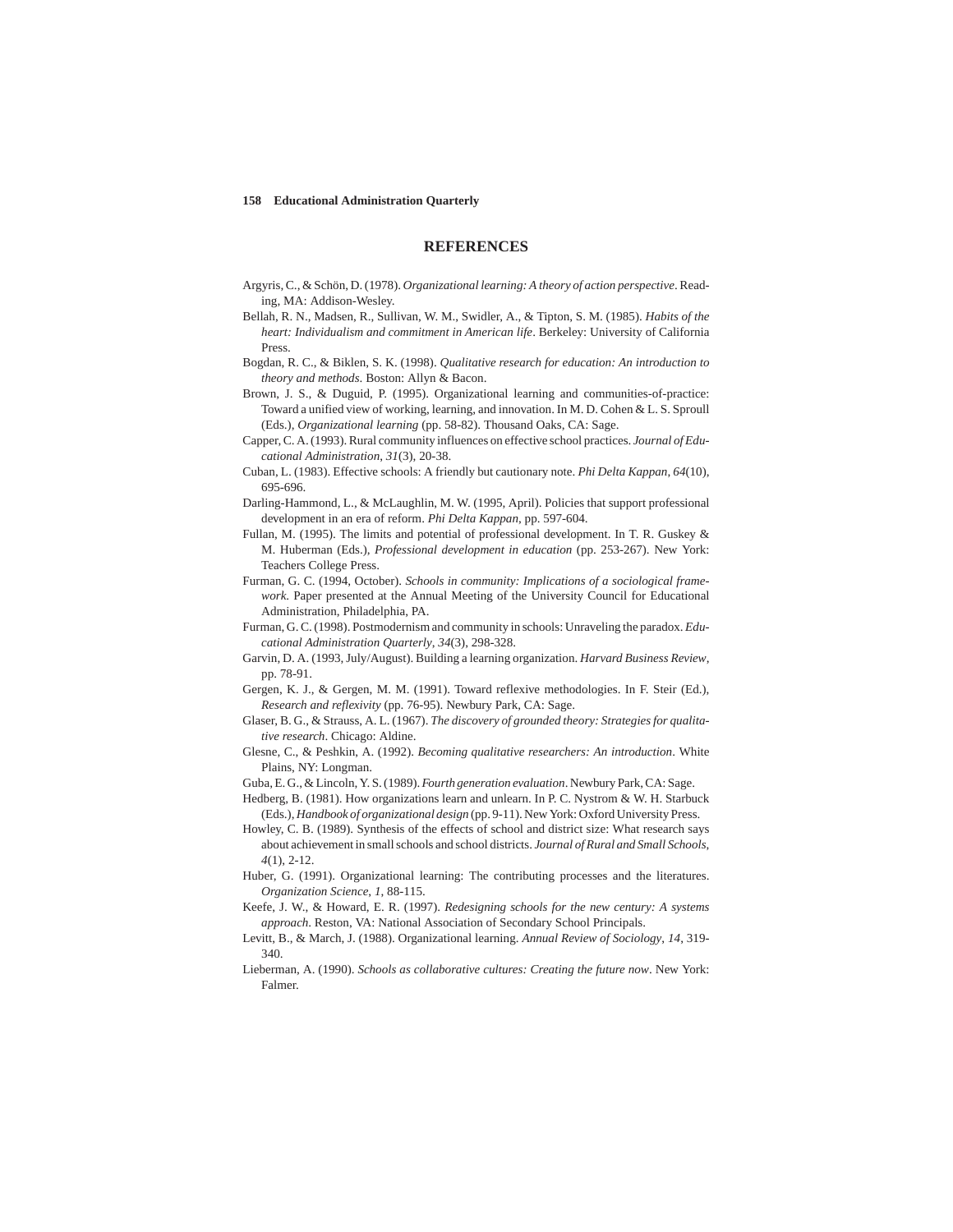### **REFERENCES**

- Argyris, C., & Schön, D. (1978). *Organizational learning: A theory of action perspective*. Reading, MA: Addison-Wesley.
- Bellah, R. N., Madsen, R., Sullivan, W. M., Swidler, A., & Tipton, S. M. (1985). *Habits of the heart: Individualism and commitment in American life*. Berkeley: University of California Press.
- Bogdan, R. C., & Biklen, S. K. (1998). *Qualitative research for education: An introduction to theory and methods*. Boston: Allyn & Bacon.
- Brown, J. S., & Duguid, P. (1995). Organizational learning and communities-of-practice: Toward a unified view of working, learning, and innovation. In M. D. Cohen & L. S. Sproull (Eds.), *Organizational learning* (pp. 58-82). Thousand Oaks, CA: Sage.
- Capper, C. A. (1993). Rural community influences on effective school practices. *Journal of Educational Administration*, *31*(3), 20-38.
- Cuban, L. (1983). Effective schools: A friendly but cautionary note. *Phi Delta Kappan*, *64*(10), 695-696.
- Darling-Hammond, L., & McLaughlin, M. W. (1995, April). Policies that support professional development in an era of reform. *Phi Delta Kappan*, pp. 597-604.
- Fullan, M. (1995). The limits and potential of professional development. In T. R. Guskey & M. Huberman (Eds.), *Professional development in education* (pp. 253-267). New York: Teachers College Press.
- Furman, G. C. (1994, October). *Schools in community: Implications of a sociological framework*. Paper presented at the Annual Meeting of the University Council for Educational Administration, Philadelphia, PA.
- Furman, G. C. (1998). Postmodernism and community in schools: Unraveling the paradox. *Educational Administration Quarterly*, *34*(3), 298-328.
- Garvin, D. A. (1993, July/August). Building a learning organization. *Harvard Business Review*, pp. 78-91.
- Gergen, K. J., & Gergen, M. M. (1991). Toward reflexive methodologies. In F. Steir (Ed.), *Research and reflexivity* (pp. 76-95). Newbury Park, CA: Sage.
- Glaser, B. G., & Strauss, A. L. (1967). *The discovery of grounded theory: Strategies for qualitative research*. Chicago: Aldine.
- Glesne, C., & Peshkin, A. (1992). *Becoming qualitative researchers: An introduction*. White Plains, NY: Longman.
- Guba, E. G., & Lincoln, Y. S. (1989).*Fourth generation evaluation*. Newbury Park, CA: Sage.
- Hedberg, B. (1981). How organizations learn and unlearn. In P. C. Nystrom & W. H. Starbuck (Eds.), *Handbook of organizational design* (pp. 9-11). New York: Oxford University Press.
- Howley, C. B. (1989). Synthesis of the effects of school and district size: What research says about achievement in small schools and school districts. *Journal of Rural and Small Schools*, *4*(1), 2-12.
- Huber, G. (1991). Organizational learning: The contributing processes and the literatures. *Organization Science*, *1*, 88-115.
- Keefe, J. W., & Howard, E. R. (1997). *Redesigning schools for the new century: A systems approach*. Reston, VA: National Association of Secondary School Principals.
- Levitt, B., & March, J. (1988). Organizational learning. *Annual Review of Sociology*, *14*, 319- 340.
- Lieberman, A. (1990). *Schools as collaborative cultures: Creating the future now*. New York: Falmer.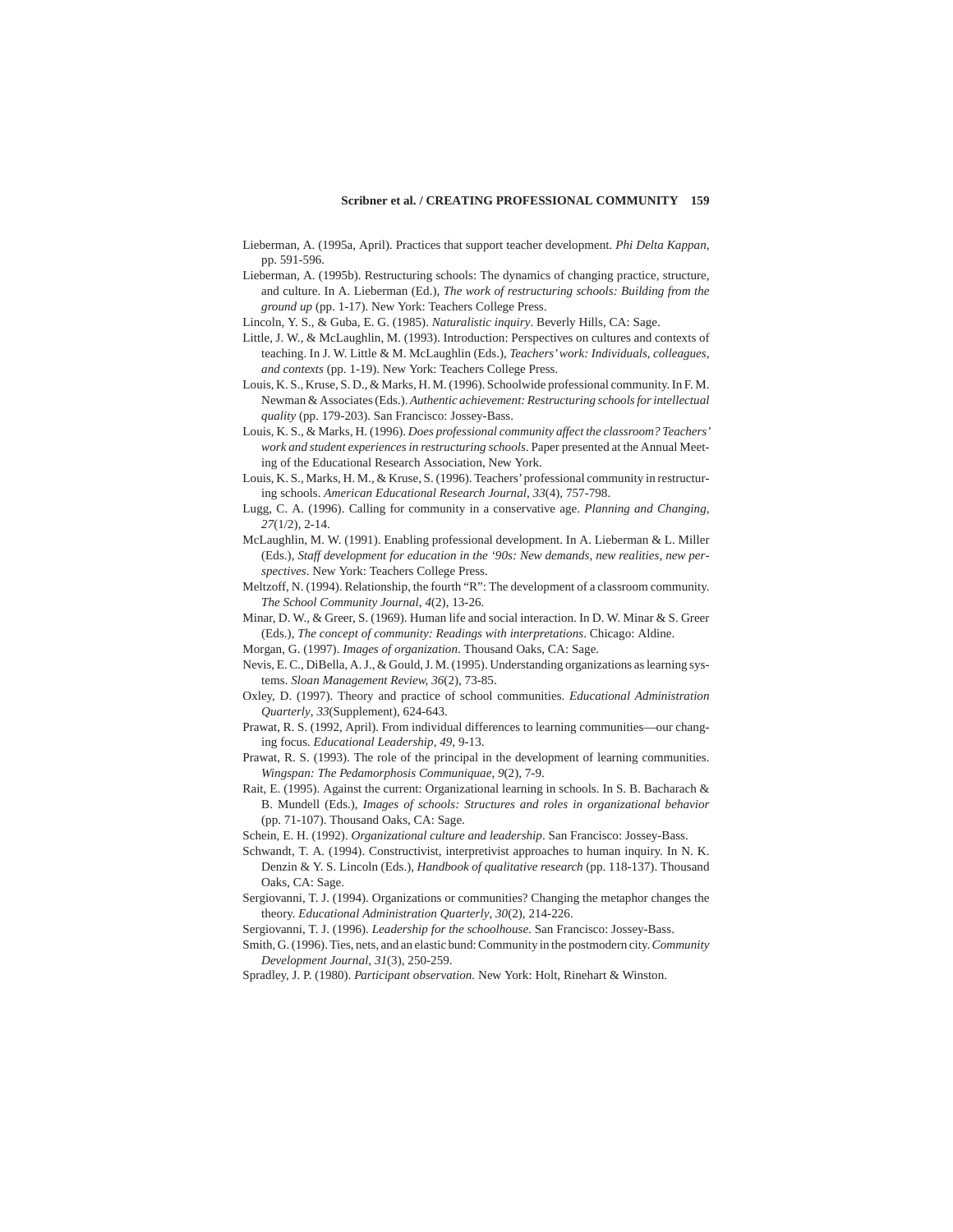- Lieberman, A. (1995a, April). Practices that support teacher development. *Phi Delta Kappan*, pp. 591-596.
- Lieberman, A. (1995b). Restructuring schools: The dynamics of changing practice, structure, and culture. In A. Lieberman (Ed.), *The work of restructuring schools: Building from the ground up* (pp. 1-17). New York: Teachers College Press.
- Lincoln, Y. S., & Guba, E. G. (1985). *Naturalistic inquiry*. Beverly Hills, CA: Sage.
- Little, J. W., & McLaughlin, M. (1993). Introduction: Perspectives on cultures and contexts of teaching. In J. W. Little & M. McLaughlin (Eds.), *Teachers'work: Individuals, colleagues, and contexts* (pp. 1-19). New York: Teachers College Press.
- Louis, K. S., Kruse, S. D., & Marks, H. M. (1996). Schoolwide professional community. In F. M. Newman & Associates (Eds.). *Authentic achievement: Restructuring schools for intellectual quality* (pp. 179-203). San Francisco: Jossey-Bass.
- Louis, K. S., & Marks, H. (1996). *Does professional community affect the classroom? Teachers' work and student experiences in restructuring schools*. Paper presented at the Annual Meeting of the Educational Research Association, New York.
- Louis, K. S., Marks, H. M., & Kruse, S. (1996). Teachers'professional community in restructuring schools. *American Educational Research Journal*, *33*(4), 757-798.
- Lugg, C. A. (1996). Calling for community in a conservative age. *Planning and Changing*, *27*(1/2), 2-14.
- McLaughlin, M. W. (1991). Enabling professional development. In A. Lieberman & L. Miller (Eds.), *Staff development for education in the '90s: New demands, new realities, new perspectives*. New York: Teachers College Press.
- Meltzoff, N. (1994). Relationship, the fourth "R": The development of a classroom community. *The School Community Journal*, *4*(2), 13-26.
- Minar, D. W., & Greer, S. (1969). Human life and social interaction. In D. W. Minar & S. Greer (Eds.), *The concept of community: Readings with interpretations*. Chicago: Aldine.
- Morgan, G. (1997). *Images of organization*. Thousand Oaks, CA: Sage.
- Nevis, E. C., DiBella, A. J., & Gould, J. M. (1995). Understanding organizations as learning systems. *Sloan Management Review, 36*(2), 73-85.
- Oxley, D. (1997). Theory and practice of school communities. *Educational Administration Quarterly*, *33*(Supplement), 624-643.
- Prawat, R. S. (1992, April). From individual differences to learning communities—our changing focus. *Educational Leadership*, *49*, 9-13.
- Prawat, R. S. (1993). The role of the principal in the development of learning communities. *Wingspan: The Pedamorphosis Communiquae*, *9*(2), 7-9.
- Rait, E. (1995). Against the current: Organizational learning in schools. In S. B. Bacharach & B. Mundell (Eds.), *Images of schools: Structures and roles in organizational behavior* (pp. 71-107). Thousand Oaks, CA: Sage.
- Schein, E. H. (1992). *Organizational culture and leadership*. San Francisco: Jossey-Bass.
- Schwandt, T. A. (1994). Constructivist, interpretivist approaches to human inquiry. In N. K. Denzin & Y. S. Lincoln (Eds.), *Handbook of qualitative research* (pp. 118-137). Thousand Oaks, CA: Sage.
- Sergiovanni, T. J. (1994). Organizations or communities? Changing the metaphor changes the theory. *Educational Administration Quarterly*, *30*(2), 214-226.
- Sergiovanni, T. J. (1996). *Leadership for the schoolhouse*. San Francisco: Jossey-Bass.
- Smith, G. (1996). Ties, nets, and an elastic bund: Community in the postmodern city.*Community Development Journal*, *31*(3), 250-259.
- Spradley, J. P. (1980). *Participant observation*. New York: Holt, Rinehart & Winston.